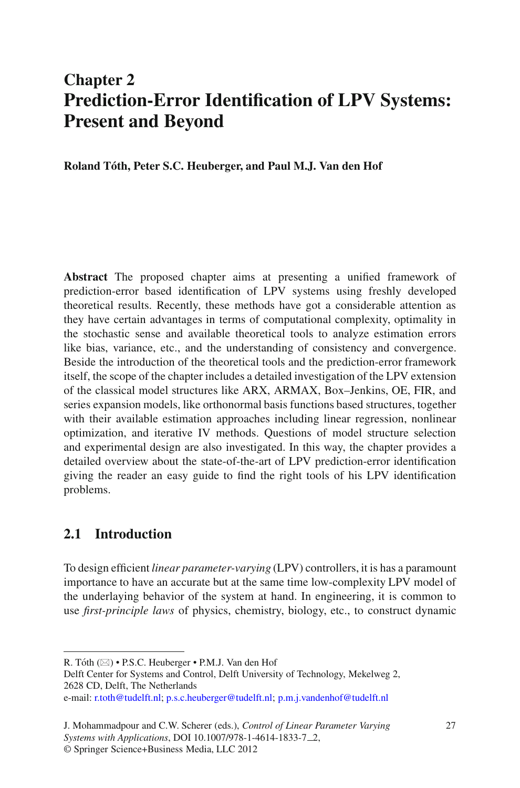# **Chapter 2 Prediction-Error Identification of LPV Systems: Present and Beyond**

**Roland Toth, Peter S.C. Heuberger, and Paul M.J. Van den Hof ´**

**Abstract** The proposed chapter aims at presenting a unified framework of prediction-error based identification of LPV systems using freshly developed theoretical results. Recently, these methods have got a considerable attention as they have certain advantages in terms of computational complexity, optimality in the stochastic sense and available theoretical tools to analyze estimation errors like bias, variance, etc., and the understanding of consistency and convergence. Beside the introduction of the theoretical tools and the prediction-error framework itself, the scope of the chapter includes a detailed investigation of the LPV extension of the classical model structures like ARX, ARMAX, Box–Jenkins, OE, FIR, and series expansion models, like orthonormal basis functions based structures, together with their available estimation approaches including linear regression, nonlinear optimization, and iterative IV methods. Questions of model structure selection and experimental design are also investigated. In this way, the chapter provides a detailed overview about the state-of-the-art of LPV prediction-error identification giving the reader an easy guide to find the right tools of his LPV identification problems.

# **2.1 Introduction**

To design efficient *linear parameter-varying* (LPV) controllers, it is has a paramount importance to have an accurate but at the same time low-complexity LPV model of the underlaying behavior of the system at hand. In engineering, it is common to use *first-principle laws* of physics, chemistry, biology, etc., to construct dynamic

R. Tóth ( $\boxtimes$ ) • P.S.C. Heuberger • P.M.J. Van den Hof

Delft Center for Systems and Control, Delft University of Technology, Mekelweg 2, 2628 CD, Delft, The Netherlands

e-mail: r.toth@tudelft.nl; p.s.c.heuberger@tudelft.nl; p.m.j.vandenhof@tudelft.nl

J. Mohammadpour and C.W. Scherer (eds.), *Control of Linear Parameter Varying Systems with Applications*, DOI 10.1007/978-1-4614-1833-7 2,

<sup>©</sup> Springer Science+Business Media, LLC 2012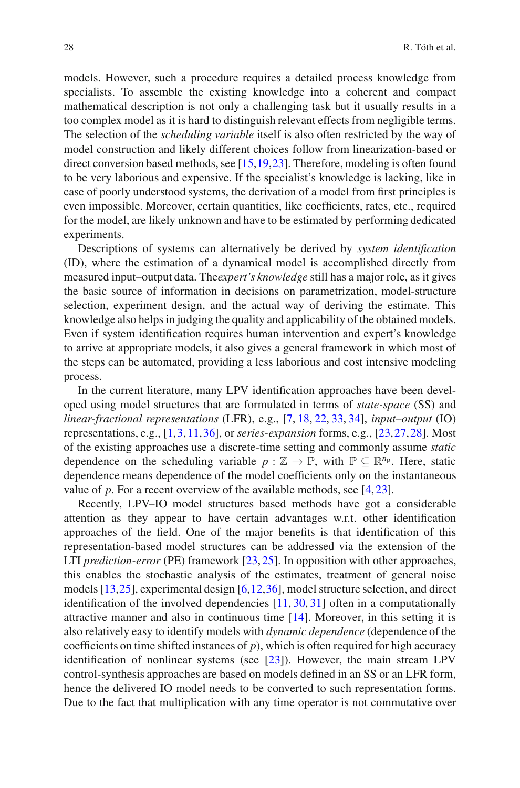models. However, such a procedure requires a detailed process knowledge from specialists. To assemble the existing knowledge into a coherent and compact mathematical description is not only a challenging task but it usually results in a too complex model as it is hard to distinguish relevant effects from negligible terms. The selection of the *scheduling variable* itself is also often restricted by the way of model construction and likely different choices follow from linearization-based or direct conversion based methods, see [15,19,23]. Therefore, modeling is often found to be very laborious and expensive. If the specialist's knowledge is lacking, like in case of poorly understood systems, the derivation of a model from first principles is even impossible. Moreover, certain quantities, like coefficients, rates, etc., required for the model, are likely unknown and have to be estimated by performing dedicated experiments.

Descriptions of systems can alternatively be derived by *system identification* (ID), where the estimation of a dynamical model is accomplished directly from measured input–output data. The*expert's knowledge* still has a major role, as it gives the basic source of information in decisions on parametrization, model-structure selection, experiment design, and the actual way of deriving the estimate. This knowledge also helps in judging the quality and applicability of the obtained models. Even if system identification requires human intervention and expert's knowledge to arrive at appropriate models, it also gives a general framework in which most of the steps can be automated, providing a less laborious and cost intensive modeling process.

In the current literature, many LPV identification approaches have been developed using model structures that are formulated in terms of *state-space* (SS) and *linear-fractional representations* (LFR), e.g., [7, 18, 22, 33, 34], *input–output* (IO) representations, e.g., [1,3,11,36], or *series-expansion* forms, e.g., [23,27,28]. Most of the existing approaches use a discrete-time setting and commonly assume *static* dependence on the scheduling variable  $p : \mathbb{Z} \to \mathbb{P}$ , with  $\mathbb{P} \subseteq \mathbb{R}^{n_p}$ . Here, static dependence means dependence of the model coefficients only on the instantaneous value of *p*. For a recent overview of the available methods, see [4,23].

Recently, LPV–IO model structures based methods have got a considerable attention as they appear to have certain advantages w.r.t. other identification approaches of the field. One of the major benefits is that identification of this representation-based model structures can be addressed via the extension of the LTI *prediction-error* (PE) framework [23,25]. In opposition with other approaches, this enables the stochastic analysis of the estimates, treatment of general noise models [13,25], experimental design [6,12,36], model structure selection, and direct identification of the involved dependencies [11, 30, 31] often in a computationally attractive manner and also in continuous time [14]. Moreover, in this setting it is also relatively easy to identify models with *dynamic dependence* (dependence of the coefficients on time shifted instances of *p*), which is often required for high accuracy identification of nonlinear systems (see [23]). However, the main stream LPV control-synthesis approaches are based on models defined in an SS or an LFR form, hence the delivered IO model needs to be converted to such representation forms. Due to the fact that multiplication with any time operator is not commutative over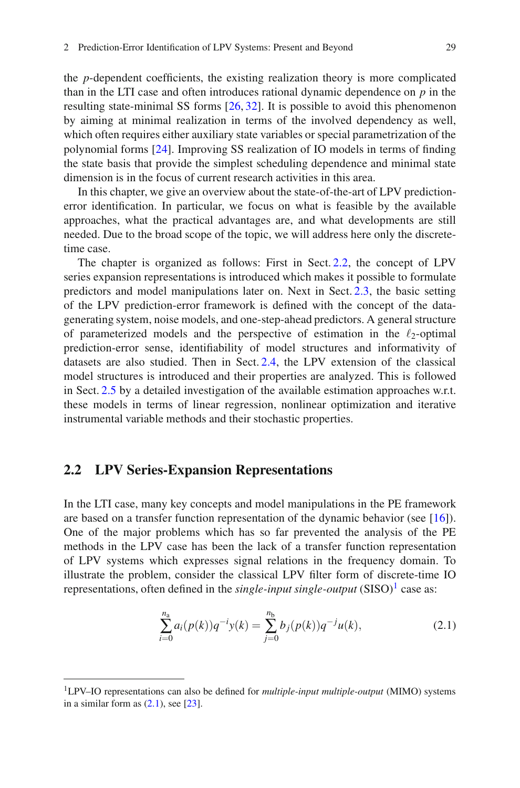the *p*-dependent coefficients, the existing realization theory is more complicated than in the LTI case and often introduces rational dynamic dependence on *p* in the resulting state-minimal SS forms [26, 32]. It is possible to avoid this phenomenon by aiming at minimal realization in terms of the involved dependency as well, which often requires either auxiliary state variables or special parametrization of the polynomial forms [24]. Improving SS realization of IO models in terms of finding the state basis that provide the simplest scheduling dependence and minimal state dimension is in the focus of current research activities in this area.

In this chapter, we give an overview about the state-of-the-art of LPV predictionerror identification. In particular, we focus on what is feasible by the available approaches, what the practical advantages are, and what developments are still needed. Due to the broad scope of the topic, we will address here only the discretetime case.

The chapter is organized as follows: First in Sect. 2.2, the concept of LPV series expansion representations is introduced which makes it possible to formulate predictors and model manipulations later on. Next in Sect. 2.3, the basic setting of the LPV prediction-error framework is defined with the concept of the datagenerating system, noise models, and one-step-ahead predictors. A general structure of parameterized models and the perspective of estimation in the  $\ell_2$ -optimal prediction-error sense, identifiability of model structures and informativity of datasets are also studied. Then in Sect. 2.4, the LPV extension of the classical model structures is introduced and their properties are analyzed. This is followed in Sect. 2.5 by a detailed investigation of the available estimation approaches w.r.t. these models in terms of linear regression, nonlinear optimization and iterative instrumental variable methods and their stochastic properties.

#### **2.2 LPV Series-Expansion Representations**

In the LTI case, many key concepts and model manipulations in the PE framework are based on a transfer function representation of the dynamic behavior (see  $[16]$ ). One of the major problems which has so far prevented the analysis of the PE methods in the LPV case has been the lack of a transfer function representation of LPV systems which expresses signal relations in the frequency domain. To illustrate the problem, consider the classical LPV filter form of discrete-time IO representations, often defined in the *single-input single-output*  $(SISO)^{1}$  case as:

$$
\sum_{i=0}^{n_a} a_i(p(k))q^{-i}y(k) = \sum_{j=0}^{n_b} b_j(p(k))q^{-j}u(k),
$$
\n(2.1)

<sup>1</sup>LPV–IO representations can also be defined for *multiple-input multiple-output* (MIMO) systems in a similar form as  $(2.1)$ , see [23].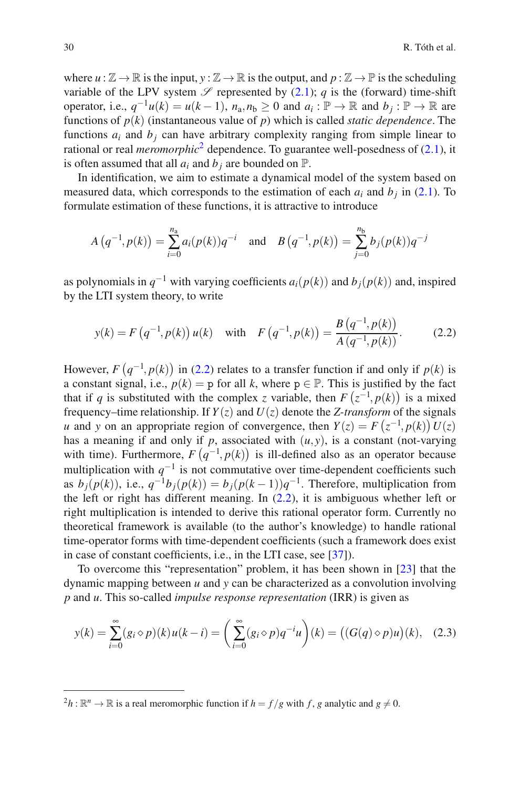where  $u : \mathbb{Z} \to \mathbb{R}$  is the input,  $y : \mathbb{Z} \to \mathbb{R}$  is the output, and  $p : \mathbb{Z} \to \mathbb{P}$  is the scheduling variable of the LPV system  $\mathscr S$  represented by (2.1); *q* is the (forward) time-shift operator, i.e.,  $q^{-1}u(k) = u(k-1)$ ,  $n_a, n_b \ge 0$  and  $a_i : \mathbb{P} \to \mathbb{R}$  and  $b_i : \mathbb{P} \to \mathbb{R}$  are functions of *p*(*k*) (instantaneous value of *p*) which is called *static dependence*. The functions  $a_i$  and  $b_j$  can have arbitrary complexity ranging from simple linear to rational or real *meromorphic*<sup>2</sup> dependence. To guarantee well-posedness of  $(2.1)$ , it is often assumed that all  $a_i$  and  $b_j$  are bounded on  $\mathbb{P}$ .

In identification, we aim to estimate a dynamical model of the system based on measured data, which corresponds to the estimation of each  $a_i$  and  $b_i$  in (2.1). To formulate estimation of these functions, it is attractive to introduce

$$
A(q^{-1}, p(k)) = \sum_{i=0}^{n_a} a_i(p(k))q^{-i} \text{ and } B(q^{-1}, p(k)) = \sum_{j=0}^{n_b} b_j(p(k))q^{-j}
$$

as polynomials in  $q^{-1}$  with varying coefficients  $a_i(p(k))$  and  $b_j(p(k))$  and, inspired by the LTI system theory, to write

$$
y(k) = F\left(q^{-1}, p(k)\right) u(k) \quad \text{with} \quad F\left(q^{-1}, p(k)\right) = \frac{B\left(q^{-1}, p(k)\right)}{A\left(q^{-1}, p(k)\right)}.\tag{2.2}
$$

However,  $F(q^{-1}, p(k))$  in (2.2) relates to a transfer function if and only if  $p(k)$  is a constant signal, i.e.,  $p(k) = p$  for all *k*, where  $p \in \mathbb{P}$ . This is justified by the fact that if *q* is substituted with the complex *z* variable, then  $F(z^{-1}, p(k))$  is a mixed frequency–time relationship. If  $Y(z)$  and  $U(z)$  denote the *Z-transform* of the signals *u* and *y* on an appropriate region of convergence, then  $Y(z) = F(z^{-1}, p(k))U(z)$ has a meaning if and only if  $p$ , associated with  $(u, y)$ , is a constant (not-varying with time). Furthermore,  $F(q^{-1}, p(k))$  is ill-defined also as an operator because multiplication with  $q^{-1}$  is not commutative over time-dependent coefficients such as  $b_j(p(k))$ , i.e.,  $q^{-1}b_j(p(k)) = b_j(p(k-1))q^{-1}$ . Therefore, multiplication from the left or right has different meaning. In (2.2), it is ambiguous whether left or right multiplication is intended to derive this rational operator form. Currently no theoretical framework is available (to the author's knowledge) to handle rational time-operator forms with time-dependent coefficients (such a framework does exist in case of constant coefficients, i.e., in the LTI case, see [37]).

To overcome this "representation" problem, it has been shown in [23] that the dynamic mapping between *u* and *y* can be characterized as a convolution involving *p* and *u*. This so-called *impulse response representation* (IRR) is given as

$$
y(k) = \sum_{i=0}^{\infty} (g_i \diamond p)(k) u(k-i) = \left(\sum_{i=0}^{\infty} (g_i \diamond p) q^{-i} u\right)(k) = \left((G(q) \diamond p) u\right)(k), \quad (2.3)
$$

 $^{2}h : \mathbb{R}^{n} \to \mathbb{R}$  is a real meromorphic function if  $h = f/g$  with f, g analytic and  $g \neq 0$ .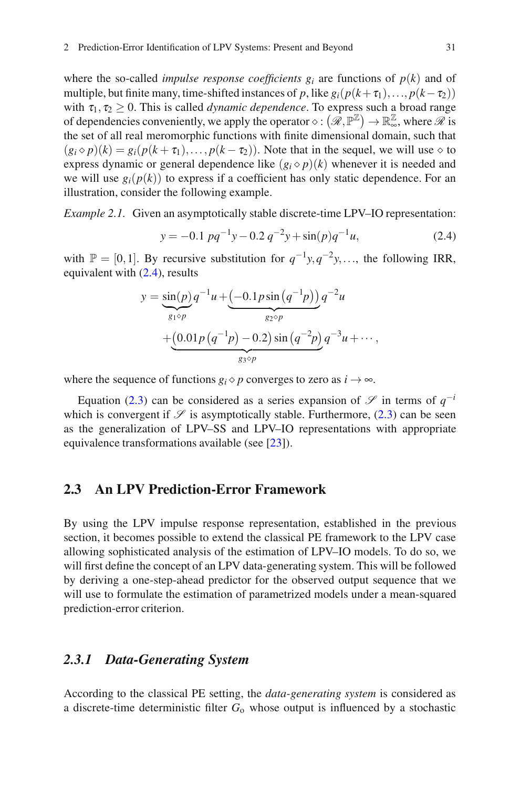where the so-called *impulse response coefficients*  $g_i$  are functions of  $p(k)$  and of multiple, but finite many, time-shifted instances of *p*, like  $g_i(p(k+\tau_1),...,p(k-\tau_2))$ with  $\tau_1, \tau_2 \geq 0$ . This is called *dynamic dependence*. To express such a broad range of dependencies conveniently, we apply the operator  $\diamond : (\mathscr{R}, \mathbb{P}^{\mathbb{Z}}) \to \mathbb{R}^{\mathbb{Z}}_{\infty}$ , where  $\mathscr{R}$  is the set of all real meromorphic functions with finite dimensional domain, such that  $(g_i \diamond p)(k) = g_i(p(k+\tau_1), \ldots, p(k-\tau_2))$ . Note that in the sequel, we will use  $\diamond$  to express dynamic or general dependence like  $(g_i \diamond p)(k)$  whenever it is needed and we will use  $g_i(p(k))$  to express if a coefficient has only static dependence. For an illustration, consider the following example.

*Example 2.1.* Given an asymptotically stable discrete-time LPV–IO representation:

$$
y = -0.1 \ pq^{-1}y - 0.2 \ q^{-2}y + \sin(p)q^{-1}u,
$$
 (2.4)

with  $\mathbb{P} = [0,1]$ . By recursive substitution for  $q^{-1}y, q^{-2}y, \dots$ , the following IRR, equivalent with (2.4), results

$$
y = \underbrace{\sin(p)}_{g_1 \diamond p} q^{-1} u + \underbrace{(-0.1 p \sin(q^{-1} p))}_{g_2 \diamond p} q^{-2} u
$$
  
+ 
$$
\underbrace{(0.01 p (q^{-1} p) - 0.2) \sin(q^{-2} p)}_{g_3 \diamond p} q^{-3} u + \cdots,
$$

where the sequence of functions  $g_i \diamond p$  converges to zero as  $i \to \infty$ .

Equation (2.3) can be considered as a series expansion of  $\mathscr S$  in terms of  $q^{-i}$ which is convergent if  $\mathcal S$  is asymptotically stable. Furthermore, (2.3) can be seen as the generalization of LPV–SS and LPV–IO representations with appropriate equivalence transformations available (see [23]).

# **2.3 An LPV Prediction-Error Framework**

By using the LPV impulse response representation, established in the previous section, it becomes possible to extend the classical PE framework to the LPV case allowing sophisticated analysis of the estimation of LPV–IO models. To do so, we will first define the concept of an LPV data-generating system. This will be followed by deriving a one-step-ahead predictor for the observed output sequence that we will use to formulate the estimation of parametrized models under a mean-squared prediction-error criterion.

### *2.3.1 Data-Generating System*

According to the classical PE setting, the *data-generating system* is considered as a discrete-time deterministic filter *G*<sup>o</sup> whose output is influenced by a stochastic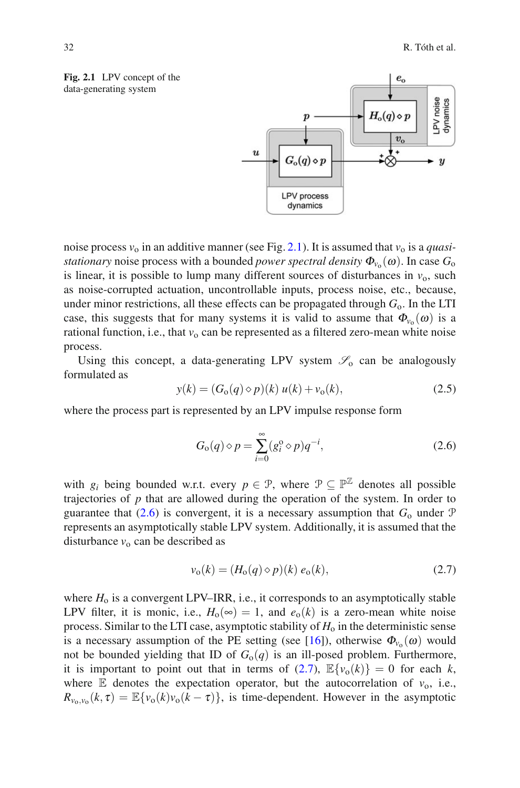



noise process  $v_0$  in an additive manner (see Fig. 2.1). It is assumed that  $v_0$  is a *quasistationary* noise process with a bounded *power spectral density*  $\Phi_{v_0}(\omega)$ . In case  $G_0$ is linear, it is possible to lump many different sources of disturbances in  $v_0$ , such as noise-corrupted actuation, uncontrollable inputs, process noise, etc., because, under minor restrictions, all these effects can be propagated through  $G_0$ . In the LTI case, this suggests that for many systems it is valid to assume that  $\Phi_{v_0}(\omega)$  is a rational function, i.e., that  $v_0$  can be represented as a filtered zero-mean white noise process.

Using this concept, a data-generating LPV system  $\mathscr{S}_0$  can be analogously formulated as

$$
y(k) = (G_0(q) \diamond p)(k) u(k) + v_0(k),
$$
\n(2.5)

where the process part is represented by an LPV impulse response form

$$
G_{o}(q) \diamond p = \sum_{i=0}^{\infty} (g_i^o \diamond p) q^{-i},
$$
\n(2.6)

with  $g_i$  being bounded w.r.t. every  $p \in \mathcal{P}$ , where  $\mathcal{P} \subseteq \mathbb{P}^{\mathbb{Z}}$  denotes all possible trajectories of *p* that are allowed during the operation of the system. In order to guarantee that  $(2.6)$  is convergent, it is a necessary assumption that  $G_0$  under  $\mathcal P$ represents an asymptotically stable LPV system. Additionally, it is assumed that the disturbance  $v_0$  can be described as

$$
v_o(k) = (H_o(q) \diamond p)(k) e_o(k), \tag{2.7}
$$

where  $H_0$  is a convergent LPV–IRR, i.e., it corresponds to an asymptotically stable LPV filter, it is monic, i.e.,  $H_0(\infty) = 1$ , and  $e_0(k)$  is a zero-mean white noise process. Similar to the LTI case, asymptotic stability of  $H_0$  in the deterministic sense is a necessary assumption of the PE setting (see [16]), otherwise  $\Phi_{v_0}(\omega)$  would not be bounded yielding that ID of  $G_0(q)$  is an ill-posed problem. Furthermore, it is important to point out that in terms of  $(2.7)$ ,  $\mathbb{E}{v_0(k)} = 0$  for each *k*, where  $E$  denotes the expectation operator, but the autocorrelation of  $v_0$ , i.e.,  $R_{v_0,v_0}(k,\tau) = \mathbb{E}\{v_0(k)v_0(k-\tau)\}\$ , is time-dependent. However in the asymptotic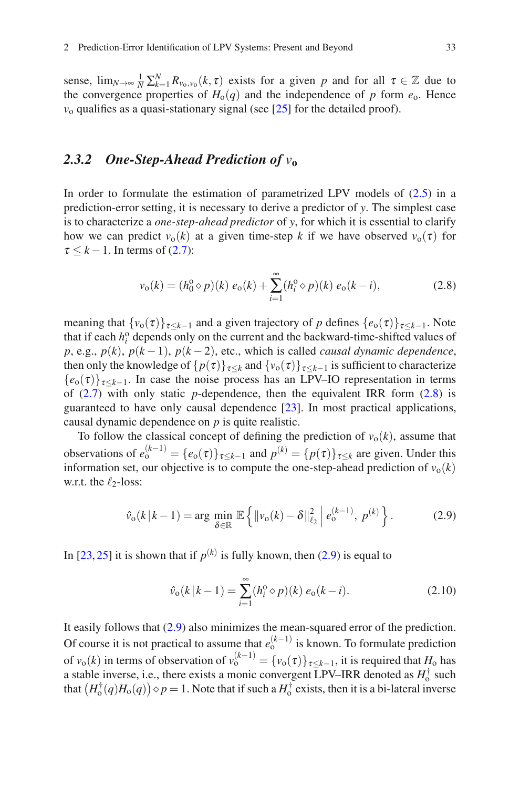sense,  $\lim_{N\to\infty} \frac{1}{N} \sum_{k=1}^{N} R_{v_0,v_0}(k,\tau)$  exists for a given *p* and for all  $\tau \in \mathbb{Z}$  due to the convergence properties of  $H_0(q)$  and the independence of p form  $e_0$ . Hence  $v_0$  qualifies as a quasi-stationary signal (see  $[25]$  for the detailed proof).

# *2.3.2 One-Step-Ahead Prediction of v***<sup>o</sup>**

In order to formulate the estimation of parametrized LPV models of (2.5) in a prediction-error setting, it is necessary to derive a predictor of *y*. The simplest case is to characterize a *one-step-ahead predictor* of *y*, for which it is essential to clarify how we can predict  $v_0(k)$  at a given time-step k if we have observed  $v_0(\tau)$  for  $\tau \leq k - 1$ . In terms of (2.7):

$$
v_o(k) = (h_0^o \diamond p)(k) e_o(k) + \sum_{i=1}^{\infty} (h_i^o \diamond p)(k) e_o(k-i),
$$
 (2.8)

meaning that  $\{v_0(\tau)\}_{\tau\leq k-1}$  and a given trajectory of *p* defines  $\{e_0(\tau)\}_{\tau\leq k-1}$ . Note that if each  $h_i^0$  depends only on the current and the backward-time-shifted values of *p*, e.g., *p*(*k*), *p*(*k* − 1), *p*(*k* − 2), etc., which is called *causal dynamic dependence*, then only the knowledge of  $\{p(\tau)\}_{\tau\leq k}$  and  $\{v_0(\tau)\}_{\tau\leq k-1}$  is sufficient to characterize  ${e_0(\tau)}_{\tau\leq k-1}$ . In case the noise process has an LPV–IO representation in terms of  $(2.7)$  with only static *p*-dependence, then the equivalent IRR form  $(2.8)$  is guaranteed to have only causal dependence [23]. In most practical applications, causal dynamic dependence on *p* is quite realistic.

To follow the classical concept of defining the prediction of  $v_0(k)$ , assume that observations of  $e_0^{(k-1)} = \{e_0(\tau)\}_{\tau \leq k-1}$  and  $p^{(k)} = \{p(\tau)\}_{\tau \leq k}$  are given. Under this information set, our objective is to compute the one-step-ahead prediction of  $v_0(k)$ w.r.t. the  $\ell_2$ -loss:

$$
\hat{v}_{o}(k|k-1) = \arg \min_{\delta \in \mathbb{R}} \mathbb{E} \left\{ ||v_{o}(k) - \delta||_{\ell_{2}}^{2} | e_{o}^{(k-1)}, p^{(k)} \right\}.
$$
 (2.9)

In [23, 25] it is shown that if  $p^{(k)}$  is fully known, then (2.9) is equal to

$$
\hat{v}_o(k|k-1) = \sum_{i=1}^{\infty} (h_i^o \diamond p)(k) \ e_o(k-i).
$$
 (2.10)

It easily follows that (2.9) also minimizes the mean-squared error of the prediction. Of course it is not practical to assume that  $e_0^{(k-1)}$  is known. To formulate prediction of  $v_0(k)$  in terms of observation of  $v_0^{(k-1)} = \{v_0(\tau)\}_{\tau \le k-1}$ , it is required that  $H_0$  has a stable inverse, i.e., there exists a monic convergent LPV–IRR denoted as  $H_0^{\dagger}$  such that  $\left(H_0^{\dagger}(q)H_0(q)\right)\diamond p=1.$  Note that if such a  $H_0^{\dagger}$  exists, then it is a bi-lateral inverse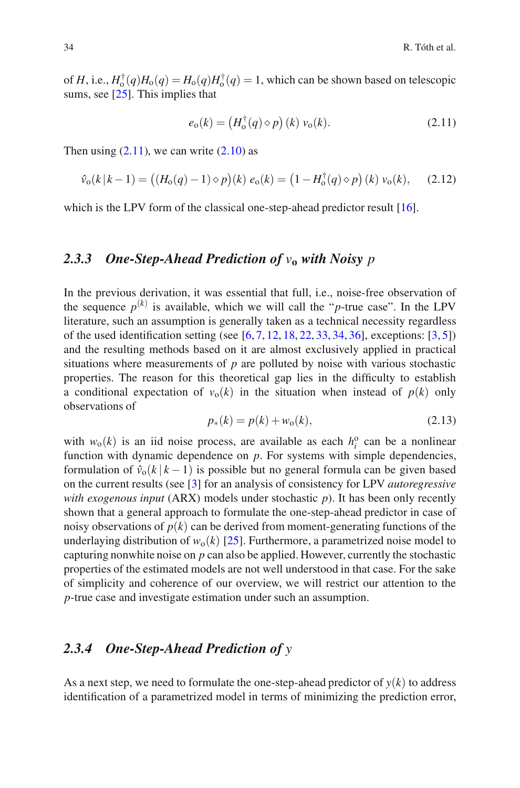of *H*, i.e.,  $H_0^{\dagger}(q)H_0(q) = H_0(q)H_0^{\dagger}(q) = 1$ , which can be shown based on telescopic sums, see [25]. This implies that

$$
e_{o}(k) = \left(H_{o}^{\dagger}(q) \diamond p\right)(k) \ v_{o}(k). \tag{2.11}
$$

Then using  $(2.11)$ , we can write  $(2.10)$  as

$$
\hat{v}_o(k|k-1) = ((H_o(q)-1) \diamond p)(k) \ e_o(k) = (1 - H_o^{\dagger}(q) \diamond p)(k) \ v_o(k), \quad (2.12)
$$

which is the LPV form of the classical one-step-ahead predictor result [16].

## *2.3.3 One-Step-Ahead Prediction of v***<sup>o</sup>** *with Noisy p*

In the previous derivation, it was essential that full, i.e., noise-free observation of the sequence  $p^{(k)}$  is available, which we will call the " $p$ -true case". In the LPV literature, such an assumption is generally taken as a technical necessity regardless of the used identification setting (see  $[6, 7, 12, 18, 22, 33, 34, 36]$ , exceptions:  $[3, 5]$ ) and the resulting methods based on it are almost exclusively applied in practical situations where measurements of *p* are polluted by noise with various stochastic properties. The reason for this theoretical gap lies in the difficulty to establish a conditional expectation of  $v_0(k)$  in the situation when instead of  $p(k)$  only observations of

$$
p_*(k) = p(k) + w_0(k),\tag{2.13}
$$

with  $w_0(k)$  is an iid noise process, are available as each  $h_i^0$  can be a nonlinear function with dynamic dependence on *p*. For systems with simple dependencies, formulation of  $\hat{v}_o(k|k-1)$  is possible but no general formula can be given based on the current results (see [3] for an analysis of consistency for LPV *autoregressive with exogenous input* (ARX) models under stochastic *p*). It has been only recently shown that a general approach to formulate the one-step-ahead predictor in case of noisy observations of  $p(k)$  can be derived from moment-generating functions of the underlaying distribution of  $w_0(k)$  [25]. Furthermore, a parametrized noise model to capturing nonwhite noise on *p* can also be applied. However, currently the stochastic properties of the estimated models are not well understood in that case. For the sake of simplicity and coherence of our overview, we will restrict our attention to the *p*-true case and investigate estimation under such an assumption.

### *2.3.4 One-Step-Ahead Prediction of y*

As a next step, we need to formulate the one-step-ahead predictor of  $y(k)$  to address identification of a parametrized model in terms of minimizing the prediction error,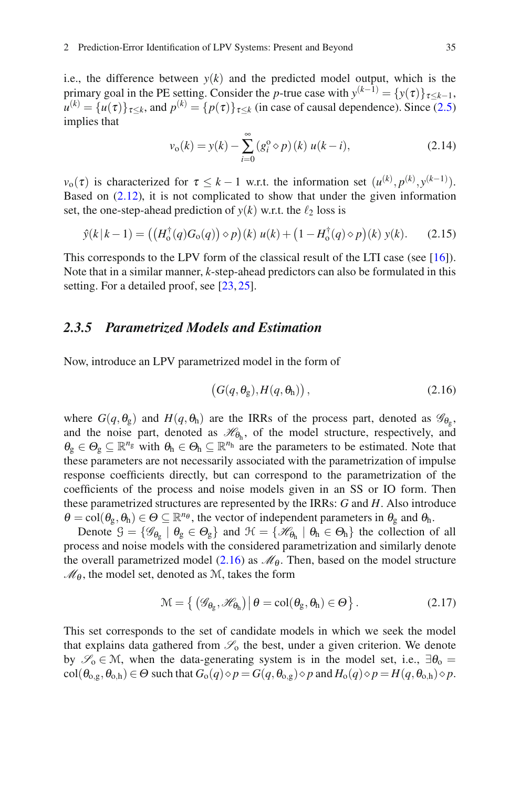i.e., the difference between  $y(k)$  and the predicted model output, which is the primary goal in the PE setting. Consider the *p*-true case with  $y^{(k-1)} = \{y(\tau)\}_{\tau \leq k-1}$ ,  $u^{(k)} = {u(\tau)}_{\tau \leq k}$ , and  $p^{(k)} = {p(\tau)}_{\tau \leq k}$  (in case of causal dependence). Since (2.5) implies that

$$
\nu_{o}(k) = y(k) - \sum_{i=0}^{\infty} (g_i^o \diamond p)(k) \ u(k-i), \qquad (2.14)
$$

 $v_0(\tau)$  is characterized for  $\tau \leq k-1$  w.r.t. the information set  $(u^{(k)}, p^{(k)}, y^{(k-1)})$ . Based on  $(2.12)$ , it is not complicated to show that under the given information set, the one-step-ahead prediction of  $y(k)$  w.r.t. the  $\ell_2$  loss is

$$
\hat{y}(k|k-1) = ((H_0^{\dagger}(q)G_0(q)) \diamond p)(k) u(k) + (1 - H_0^{\dagger}(q) \diamond p)(k) y(k).
$$
 (2.15)

This corresponds to the LPV form of the classical result of the LTI case (see [16]). Note that in a similar manner, *k*-step-ahead predictors can also be formulated in this setting. For a detailed proof, see [23, 25].

### *2.3.5 Parametrized Models and Estimation*

Now, introduce an LPV parametrized model in the form of

$$
(G(q, \theta_{\rm g}), H(q, \theta_{\rm h}))\,,\tag{2.16}
$$

where  $G(q, \theta_{g})$  and  $H(q, \theta_{h})$  are the IRRs of the process part, denoted as  $\mathscr{G}_{\theta_{o}}$ , and the noise part, denoted as  $\mathcal{H}_{\theta_h}$ , of the model structure, respectively, and  $\theta_{g} \in \Theta_{g} \subseteq \mathbb{R}^{n_{g}}$  with  $\theta_{h} \in \Theta_{h} \subseteq \mathbb{R}^{n_{h}}$  are the parameters to be estimated. Note that these parameters are not necessarily associated with the parametrization of impulse response coefficients directly, but can correspond to the parametrization of the coefficients of the process and noise models given in an SS or IO form. Then these parametrized structures are represented by the IRRs: *G* and *H*. Also introduce  $\theta = \text{col}(\theta_{g}, \theta_{h}) \in \Theta \subseteq \mathbb{R}^{n_{\theta}}$ , the vector of independent parameters in  $\theta_{g}$  and  $\theta_{h}$ .

Denote  $\mathcal{G} = {\mathscr{G}_{\theta_{\alpha}} \mid \theta_{\alpha} \in \Theta_{\alpha}}$  and  $\mathcal{H} = {\mathscr{H}_{\theta_{h}} \mid \theta_{h} \in \Theta_{h}}$  the collection of all process and noise models with the considered parametrization and similarly denote the overall parametrized model (2.16) as  $\mathcal{M}_{\theta}$ . Then, based on the model structure  $\mathcal{M}_{\theta}$ , the model set, denoted as M, takes the form

$$
\mathcal{M} = \left\{ \left( \mathscr{G}_{\theta_g}, \mathscr{H}_{\theta_h} \right) \middle| \, \theta = \text{col}(\theta_g, \theta_h) \in \Theta \right\}.
$$
\n(2.17)

This set corresponds to the set of candidate models in which we seek the model that explains data gathered from  $\mathcal{S}_0$  the best, under a given criterion. We denote by  $\mathscr{S}_0 \in \mathcal{M}$ , when the data-generating system is in the model set, i.e.,  $\exists \theta_0 =$  $col(\theta_{o,g}, \theta_{o,h}) \in \Theta$  such that  $G_o(q) \diamond p = G(q, \theta_{o,g}) \diamond p$  and  $H_o(q) \diamond p = H(q, \theta_{o,h}) \diamond p$ .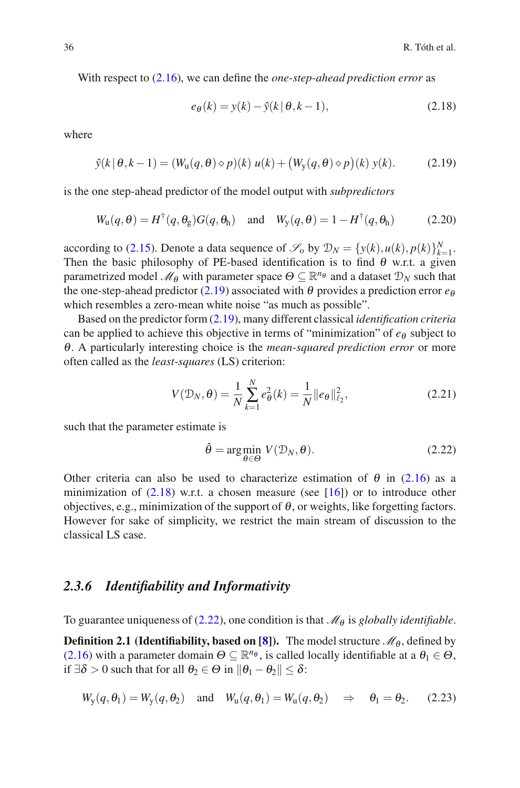With respect to (2.16), we can define the *one-step-ahead prediction error* as

$$
e_{\theta}(k) = y(k) - \hat{y}(k | \theta, k - 1),
$$
\n(2.18)

where

$$
\hat{y}(k | \theta, k - 1) = (W_{\mathfrak{u}}(q, \theta) \diamond p)(k) u(k) + (W_{\mathfrak{y}}(q, \theta) \diamond p)(k) y(k).
$$
 (2.19)

is the one step-ahead predictor of the model output with *subpredictors*

$$
W_{\mathbf{u}}(q,\theta) = H^{\dagger}(q,\theta_{\mathbf{g}})G(q,\theta_{\mathbf{h}}) \quad \text{and} \quad W_{\mathbf{y}}(q,\theta) = 1 - H^{\dagger}(q,\theta_{\mathbf{h}}) \tag{2.20}
$$

according to (2.15). Denote a data sequence of  $\mathscr{S}_0$  by  $\mathcal{D}_N = \{y(k), u(k), p(k)\}_{k=1}^N$ . Then the basic philosophy of PE-based identification is to find  $\theta$  w.r.t. a given parametrized model  $\mathcal{M}_{\theta}$  with parameter space  $\Theta \subseteq \mathbb{R}^{n_{\theta}}$  and a dataset  $\mathcal{D}_N$  such that the one-step-ahead predictor (2.19) associated with  $\theta$  provides a prediction error  $e_{\theta}$ which resembles a zero-mean white noise "as much as possible".

Based on the predictor form (2.19), many different classical *identification criteria* can be applied to achieve this objective in terms of "minimization" of  $e_{\theta}$  subject to <sup>θ</sup>. A particularly interesting choice is the *mean-squared prediction error* or more often called as the *least-squares* (LS) criterion:

$$
V(\mathcal{D}_N, \theta) = \frac{1}{N} \sum_{k=1}^N e_{\theta}^2(k) = \frac{1}{N} ||e_{\theta}||_{\ell_2}^2,
$$
 (2.21)

such that the parameter estimate is

$$
\hat{\theta} = \underset{\theta \in \Theta}{\arg \min} \ V(\mathcal{D}_N, \theta). \tag{2.22}
$$

Other criteria can also be used to characterize estimation of  $\theta$  in (2.16) as a minimization of  $(2.18)$  w.r.t. a chosen measure (see [16]) or to introduce other objectives, e.g., minimization of the support of  $\theta$ , or weights, like forgetting factors. However for sake of simplicity, we restrict the main stream of discussion to the classical LS case.

## *2.3.6 Identifiability and Informativity*

To guarantee uniqueness of  $(2.22)$ , one condition is that  $\mathcal{M}_{\theta}$  is *globally identifiable*.

**Definition 2.1 (Identifiability, based on [8]).** The model structure  $\mathcal{M}_{\theta}$ , defined by (2.16) with a parameter domain  $\Theta \subseteq \mathbb{R}^{n_{\theta}}$ , is called locally identifiable at a  $\theta_1 \in \Theta$ , if  $\exists \delta > 0$  such that for all  $\theta_2 \in \Theta$  in  $\|\theta_1 - \theta_2\| \leq \delta$ :

$$
W_y(q, \theta_1) = W_y(q, \theta_2)
$$
 and  $W_u(q, \theta_1) = W_u(q, \theta_2) \Rightarrow \theta_1 = \theta_2.$  (2.23)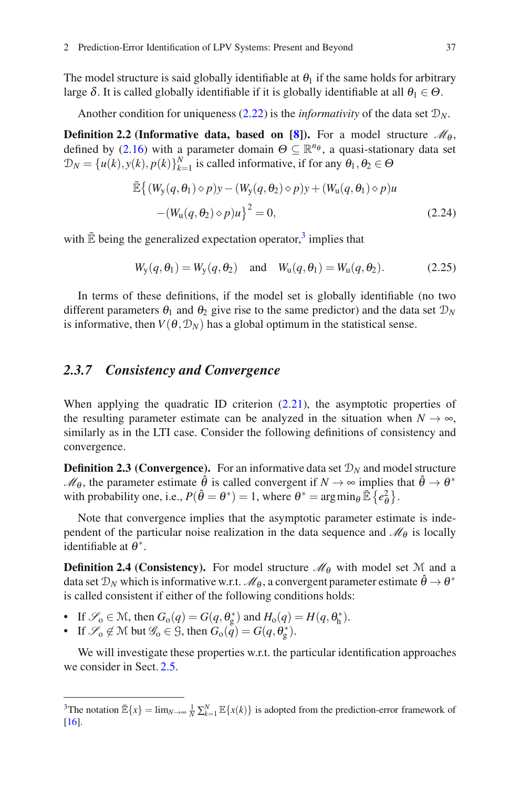The model structure is said globally identifiable at  $\theta_1$  if the same holds for arbitrary large  $\delta$ . It is called globally identifiable if it is globally identifiable at all  $\theta_1 \in \Theta$ .

Another condition for uniqueness  $(2.22)$  is the *informativity* of the data set  $\mathcal{D}_N$ .

**Definition 2.2 (Informative data, based on [8]).** For a model structure  $\mathcal{M}_{\theta}$ , defined by (2.16) with a parameter domain  $\Theta \subseteq \mathbb{R}^{n_{\theta}}$ , a quasi-stationary data set  $\mathcal{D}_N = \{u(k), y(k), p(k)\}_{k=1}^N$  is called informative, if for any  $\theta_1, \theta_2 \in \Theta$ 

$$
\mathbb{E}\left\{(W_{\mathbf{y}}(q,\theta_1)\diamond p)\mathbf{y} - (W_{\mathbf{y}}(q,\theta_2)\diamond p)\mathbf{y} + (W_{\mathbf{u}}(q,\theta_1)\diamond p)\mathbf{u}\right. \\ \left. - (W_{\mathbf{u}}(q,\theta_2)\diamond p)\mathbf{u}\right\}^2 = 0, \tag{2.24}
$$

with  $\bar{E}$  being the generalized expectation operator,<sup>3</sup> implies that

$$
W_{\mathbf{y}}(q,\theta_1) = W_{\mathbf{y}}(q,\theta_2) \quad \text{and} \quad W_{\mathbf{u}}(q,\theta_1) = W_{\mathbf{u}}(q,\theta_2). \tag{2.25}
$$

In terms of these definitions, if the model set is globally identifiable (no two different parameters  $\theta_1$  and  $\theta_2$  give rise to the same predictor) and the data set  $\mathcal{D}_N$ is informative, then  $V(\theta, \mathcal{D}_N)$  has a global optimum in the statistical sense.

## *2.3.7 Consistency and Convergence*

When applying the quadratic ID criterion (2.21), the asymptotic properties of the resulting parameter estimate can be analyzed in the situation when  $N \to \infty$ , similarly as in the LTI case. Consider the following definitions of consistency and convergence.

**Definition 2.3 (Convergence).** For an informative data set  $\mathcal{D}_N$  and model structure *M*<sub>θ</sub>, the parameter estimate  $\hat{\theta}$  is called convergent if  $N \rightarrow \infty$  implies that  $\hat{\theta} \rightarrow \theta^*$ with probability one, i.e.,  $P(\hat{\theta} = \theta^*) = 1$ , where  $\theta^* = \arg\min_{\theta} \mathbb{E} \{e_{\theta}^2\}.$ 

Note that convergence implies that the asymptotic parameter estimate is independent of the particular noise realization in the data sequence and  $\mathcal{M}_{\theta}$  is locally identifiable at  $\theta^*$ .

**Definition 2.4 (Consistency).** For model structure  $\mathcal{M}_{\theta}$  with model set M and a data set  $\mathcal{D}_N$  which is informative w.r.t.  $\mathcal{M}_\theta$ , a convergent parameter estimate  $\hat{\theta} \to \theta^*$ is called consistent if either of the following conditions holds:

- If  $\mathscr{S}_o \in \mathcal{M}$ , then  $G_o(q) = G(q, \theta_g^*)$  and  $H_o(q) = H(q, \theta_h^*)$ .
- If  $\mathscr{S}_0 \not\in \mathcal{M}$  but  $\mathscr{G}_0 \in \mathcal{G}$ , then  $G_0(\check{q}) = G(q, \theta_g^*)$ .

We will investigate these properties w.r.t. the particular identification approaches we consider in Sect. 2.5.

<sup>&</sup>lt;sup>3</sup>The notation  $\bar{\mathbb{E}}\{x\} = \lim_{N \to \infty} \frac{1}{N} \sum_{k=1}^{N} \mathbb{E}\{x(k)\}\$ is adopted from the prediction-error framework of [16].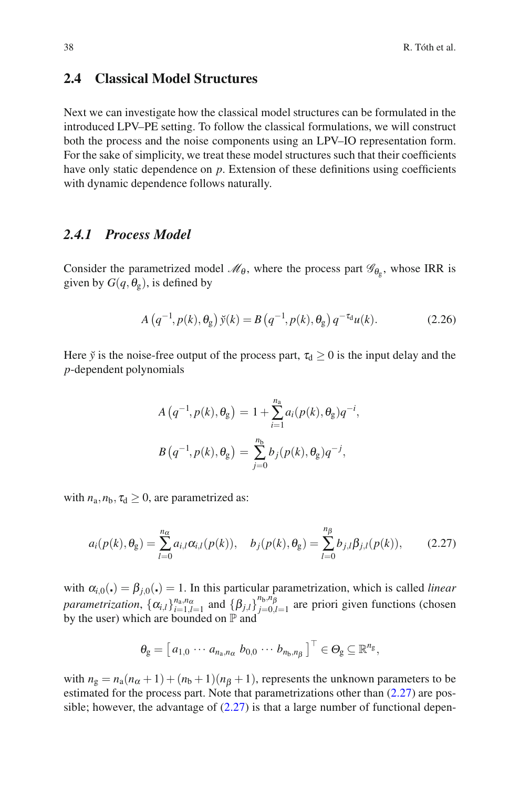# **2.4 Classical Model Structures**

Next we can investigate how the classical model structures can be formulated in the introduced LPV–PE setting. To follow the classical formulations, we will construct both the process and the noise components using an LPV–IO representation form. For the sake of simplicity, we treat these model structures such that their coefficients have only static dependence on *p*. Extension of these definitions using coefficients with dynamic dependence follows naturally.

### *2.4.1 Process Model*

Consider the parametrized model  $\mathcal{M}_{\theta}$ , where the process part  $\mathcal{G}_{\theta_{\alpha}}$ , whose IRR is given by  $G(q, \theta_g)$ , is defined by

$$
A(q^{-1}, p(k), \theta_{g}) \check{y}(k) = B(q^{-1}, p(k), \theta_{g}) q^{-\tau_{d}} u(k).
$$
 (2.26)

Here  $\breve{y}$  is the noise-free output of the process part,  $\tau_d \geq 0$  is the input delay and the *p*-dependent polynomials

$$
A(q^{-1}, p(k), \theta_{g}) = 1 + \sum_{i=1}^{n_{a}} a_{i}(p(k), \theta_{g})q^{-i},
$$
  

$$
B(q^{-1}, p(k), \theta_{g}) = \sum_{j=0}^{n_{b}} b_{j}(p(k), \theta_{g})q^{-j},
$$

with  $n_a, n_b, \tau_d \geq 0$ , are parametrized as:

$$
a_i(p(k), \theta_g) = \sum_{l=0}^{n_{\alpha}} a_{i,l} \alpha_{i,l}(p(k)), \quad b_j(p(k), \theta_g) = \sum_{l=0}^{n_{\beta}} b_{j,l} \beta_{j,l}(p(k)), \quad (2.27)
$$

with  $\alpha_{i,0}(\cdot) = \beta_{j,0}(\cdot) = 1$ . In this particular parametrization, which is called *linear parametrization*,  $\{\alpha_{i,l}\}_{i=1,l=1}^{n_a,n_a}$  and  $\{\beta_{j,l}\}_{j=0,l=1}^{n_b,n_b}$  are priori given functions (chosen by the user) which are bounded on  $\mathbb P$  and

$$
\theta_{g} = [a_{1,0} \cdots a_{n_{a},n_{\alpha}} b_{0,0} \cdots b_{n_{b},n_{\beta}}]^{\top} \in \Theta_{g} \subseteq \mathbb{R}^{n_{g}},
$$

with  $n_g = n_a(n_\alpha + 1) + (n_b + 1)(n_\beta + 1)$ , represents the unknown parameters to be estimated for the process part. Note that parametrizations other than  $(2.27)$  are possible; however, the advantage of  $(2.27)$  is that a large number of functional depen-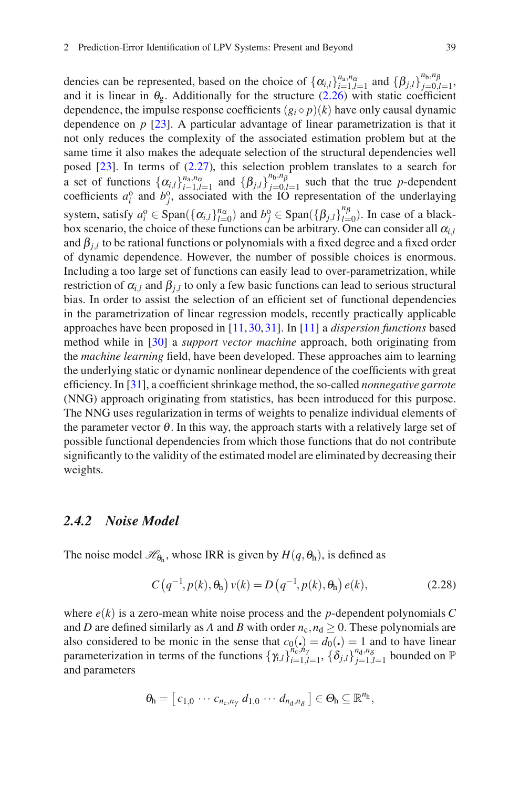dencies can be represented, based on the choice of  $\{\alpha_{i,l}\}_{i=1,l=1}^{n_a,n_a}$  and  $\{\beta_{j,l}\}_{j=0,l=1}^{n_b,n_b}$ and it is linear in  $\theta_{\varrho}$ . Additionally for the structure (2.26) with static coefficient dependence, the impulse response coefficients  $(g_i \diamond p)(k)$  have only causal dynamic dependence on *p* [23]. A particular advantage of linear parametrization is that it not only reduces the complexity of the associated estimation problem but at the same time it also makes the adequate selection of the structural dependencies well posed [23]. In terms of (2.27), this selection problem translates to a search for a set of functions  $\{\alpha_{i,l}\}_{i=1,l=1}^{n_a,n_a}$  and  $\{\beta_{j,l}\}_{j=0,l=1}^{n_b,n_b}$  such that the true *p*-dependent coefficients  $a_i^{\circ}$  and  $b_j^{\circ}$ , associated with the IO representation of the underlaying system, satisfy  $a_i^0 \in \text{Span}(\{\alpha_{i,l}\}_{l=0}^{n_{\alpha}})$  and  $b_j^0 \in \text{Span}(\{\beta_{j,l}\}_{l=0}^{n_{\beta}})$ . In case of a blackbox scenario, the choice of these functions can be arbitrary. One can consider all  $\alpha_{i,l}$ and  $\beta_{i,l}$  to be rational functions or polynomials with a fixed degree and a fixed order of dynamic dependence. However, the number of possible choices is enormous. Including a too large set of functions can easily lead to over-parametrization, while restriction of  $\alpha_{i,l}$  and  $\beta_{i,l}$  to only a few basic functions can lead to serious structural bias. In order to assist the selection of an efficient set of functional dependencies in the parametrization of linear regression models, recently practically applicable approaches have been proposed in [11, 30, 31]. In [11] a *dispersion functions* based method while in [30] a *support vector machine* approach, both originating from the *machine learning* field, have been developed. These approaches aim to learning the underlying static or dynamic nonlinear dependence of the coefficients with great efficiency. In [31], a coefficient shrinkage method, the so-called *nonnegative garrote* (NNG) approach originating from statistics, has been introduced for this purpose. The NNG uses regularization in terms of weights to penalize individual elements of the parameter vector  $\theta$ . In this way, the approach starts with a relatively large set of possible functional dependencies from which those functions that do not contribute significantly to the validity of the estimated model are eliminated by decreasing their weights.

### *2.4.2 Noise Model*

The noise model  $\mathcal{H}_{\theta_h}$ , whose IRR is given by  $H(q, \theta_h)$ , is defined as

$$
C(q^{-1}, p(k), \theta_{\rm h}) v(k) = D(q^{-1}, p(k), \theta_{\rm h}) e(k),
$$
 (2.28)

where  $e(k)$  is a zero-mean white noise process and the *p*-dependent polynomials C and *D* are defined similarly as *A* and *B* with order  $n_c$ ,  $n_d \geq 0$ . These polynomials are also considered to be monic in the sense that  $c_0(\cdot) = d_0(\cdot) = 1$  and to have linear parameterization in terms of the functions  $\{\gamma_{i,l}\}_{i=1,l=1}^{n_c, h\gamma}$ ,  $\{\delta_{j,l}\}_{j=1,l=1}^{n_d, n_\delta}$  bounded on  $\mathbb{P}$ and parameters

$$
\theta_{\mathsf{h}} = [c_{1,0} \cdots c_{n_{\mathsf{c}},n_{\gamma}} d_{1,0} \cdots d_{n_{\mathsf{d}},n_{\delta}}] \in \Theta_{\mathsf{h}} \subseteq \mathbb{R}^{n_{\mathsf{h}}},
$$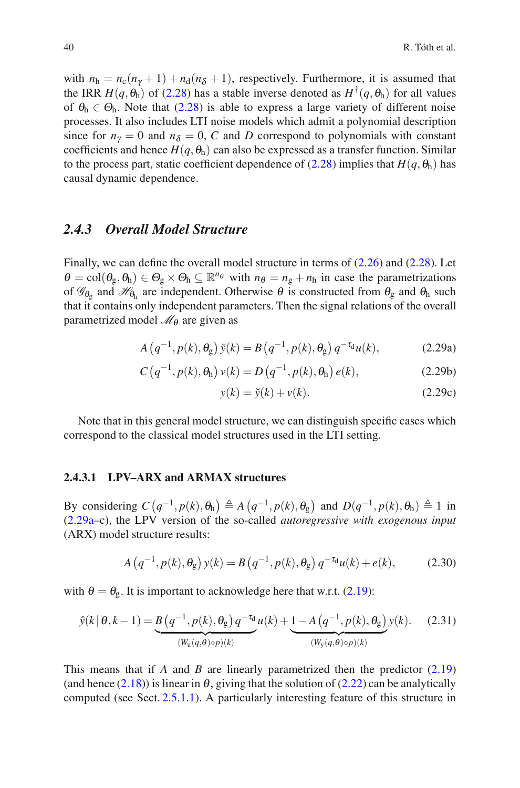with  $n_h = n_c(n_v + 1) + n_d(n_{\delta} + 1)$ , respectively. Furthermore, it is assumed that the IRR  $H(q, \theta_h)$  of (2.28) has a stable inverse denoted as  $H^{\dagger}(q, \theta_h)$  for all values of  $\theta_h \in \Theta_h$ . Note that (2.28) is able to express a large variety of different noise processes. It also includes LTI noise models which admit a polynomial description since for  $n<sub>y</sub> = 0$  and  $n<sub>δ</sub> = 0$ , *C* and *D* correspond to polynomials with constant coefficients and hence  $H(q, \theta_h)$  can also be expressed as a transfer function. Similar to the process part, static coefficient dependence of (2.28) implies that  $H(q, \theta_h)$  has causal dynamic dependence.

# *2.4.3 Overall Model Structure*

Finally, we can define the overall model structure in terms of (2.26) and (2.28). Let  $\theta = \text{col}(\theta_{g}, \theta_{h}) \in \Theta_{g} \times \Theta_{h} \subseteq \mathbb{R}^{n_{\theta}}$  with  $n_{\theta} = n_{g} + n_{h}$  in case the parametrizations of  $\mathscr{G}_{\theta_{\rm g}}$  and  $\mathscr{H}_{\theta_{\rm h}}$  are independent. Otherwise  $\theta$  is constructed from  $\theta_{\rm g}$  and  $\theta_{\rm h}$  such that it contains only independent parameters. Then the signal relations of the overall parametrized model  $\mathcal{M}_{\theta}$  are given as

$$
A\left(q^{-1}, p(k), \theta_{g}\right) \breve{y}(k) = B\left(q^{-1}, p(k), \theta_{g}\right) q^{-\tau_{d}} u(k), \qquad (2.29a)
$$

$$
C(q^{-1}, p(k), \theta_{h}) v(k) = D(q^{-1}, p(k), \theta_{h}) e(k),
$$
 (2.29b)

$$
y(k) = \check{y}(k) + v(k). \tag{2.29c}
$$

Note that in this general model structure, we can distinguish specific cases which correspond to the classical model structures used in the LTI setting.

#### **2.4.3.1 LPV–ARX and ARMAX structures**

By considering  $C(q^{-1}, p(k), \theta_h) \triangleq A(q^{-1}, p(k), \theta_g)$  and  $D(q^{-1}, p(k), \theta_h) \triangleq 1$  in (2.29a–c), the LPV version of the so-called *autoregressive with exogenous input* (ARX) model structure results:

$$
A(q^{-1}, p(k), \theta_{g}) y(k) = B(q^{-1}, p(k), \theta_{g}) q^{-\tau_{d}} u(k) + e(k),
$$
 (2.30)

with  $\theta = \theta_{\rm g}$ . It is important to acknowledge here that w.r.t. (2.19):

$$
\hat{y}(k \mid \theta, k-1) = \underbrace{B(q^{-1}, p(k), \theta_g) q^{-\tau_d}}_{(W_u(q, \theta) \circ p)(k)} u(k) + \underbrace{1 - A(q^{-1}, p(k), \theta_g)}_{(W_y(q, \theta) \circ p)(k)} y(k). \tag{2.31}
$$

This means that if *A* and *B* are linearly parametrized then the predictor (2.19) (and hence  $(2.18)$ ) is linear in  $\theta$ , giving that the solution of  $(2.22)$  can be analytically computed (see Sect. 2.5.1.1). A particularly interesting feature of this structure in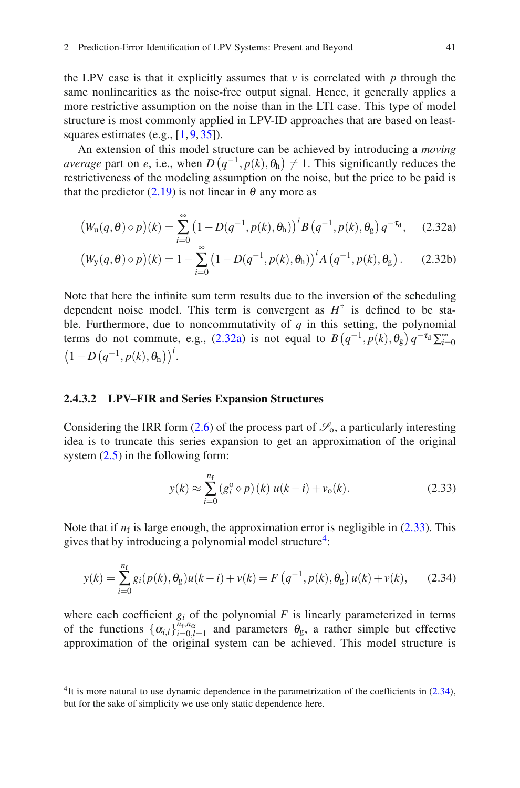the LPV case is that it explicitly assumes that  $\nu$  is correlated with  $\nu$  through the same nonlinearities as the noise-free output signal. Hence, it generally applies a more restrictive assumption on the noise than in the LTI case. This type of model structure is most commonly applied in LPV-ID approaches that are based on leastsquares estimates (e.g.,  $[1, 9, 35]$ ).

An extension of this model structure can be achieved by introducing a *moving average* part on *e*, i.e., when  $D(q^{-1}, p(k), \theta_h) \neq 1$ . This significantly reduces the restrictiveness of the modeling assumption on the noise, but the price to be paid is that the predictor  $(2.19)$  is not linear in  $\theta$  any more as

$$
(W_{\mathbf{u}}(q,\theta) \diamond p)(k) = \sum_{i=0}^{\infty} \left(1 - D(q^{-1}, p(k), \theta_{\mathbf{h}})\right)^{i} B\left(q^{-1}, p(k), \theta_{\mathbf{g}}\right) q^{-\tau_{\mathbf{d}}}, \quad (2.32a)
$$

$$
(W_{\mathbf{y}}(q,\theta) \diamond p)(k) = 1 - \sum_{i=0}^{\infty} \left(1 - D(q^{-1}, p(k), \theta_{\mathbf{h}})\right)^i A\left(q^{-1}, p(k), \theta_{\mathbf{g}}\right).
$$
 (2.32b)

Note that here the infinite sum term results due to the inversion of the scheduling dependent noise model. This term is convergent as  $H^{\dagger}$  is defined to be stable. Furthermore, due to noncommutativity of  $q$  in this setting, the polynomial terms do not commute, e.g.,  $(2.32a)$  is not equal to  $B(q^{-1}, p(k), \theta_g) q^{-\tau_d} \sum_{i=0}^{\infty}$  $(1-D(q^{-1},p(k),\theta_h))^i$ .

#### **2.4.3.2 LPV–FIR and Series Expansion Structures**

Considering the IRR form  $(2.6)$  of the process part of  $\mathscr{S}_0$ , a particularly interesting idea is to truncate this series expansion to get an approximation of the original system  $(2.5)$  in the following form:

$$
y(k) \approx \sum_{i=0}^{n_f} (g_i^0 \diamond p)(k) u(k-i) + v_0(k).
$$
 (2.33)

Note that if  $n_f$  is large enough, the approximation error is negligible in  $(2.33)$ . This gives that by introducing a polynomial model structure<sup>4</sup>:

$$
y(k) = \sum_{i=0}^{n_f} g_i(p(k), \theta_g) u(k-i) + v(k) = F(q^{-1}, p(k), \theta_g) u(k) + v(k), \quad (2.34)
$$

where each coefficient  $g_i$  of the polynomial  $F$  is linearly parameterized in terms of the functions  $\{\alpha_{i,l}\}_{i=0,l=1}^{n_f,n_{\alpha}}$  and parameters  $\theta_{g}$ , a rather simple but effective approximation of the original system can be achieved. This model structure is

<sup>&</sup>lt;sup>4</sup>It is more natural to use dynamic dependence in the parametrization of the coefficients in (2.34), but for the sake of simplicity we use only static dependence here.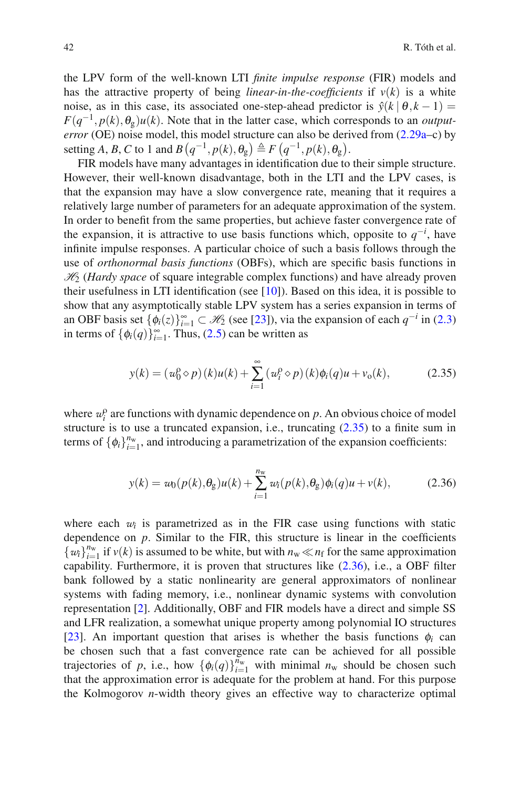the LPV form of the well-known LTI *finite impulse response* (FIR) models and has the attractive property of being *linear-in-the-coefficients* if  $v(k)$  is a white noise, as in this case, its associated one-step-ahead predictor is  $\hat{v}(k | \theta, k - 1)$  =  $F(q^{-1}, p(k), \theta_0)u(k)$ . Note that in the latter case, which corresponds to an *outputerror* (OE) noise model, this model structure can also be derived from (2.29a–c) by setting *A*, *B*, *C* to 1 and  $B(q^{-1}, p(k), \theta_g) \triangleq F(q^{-1}, p(k), \theta_g)$ .

FIR models have many advantages in identification due to their simple structure. However, their well-known disadvantage, both in the LTI and the LPV cases, is that the expansion may have a slow convergence rate, meaning that it requires a relatively large number of parameters for an adequate approximation of the system. In order to benefit from the same properties, but achieve faster convergence rate of the expansion, it is attractive to use basis functions which, opposite to  $q^{-i}$ , have infinite impulse responses. A particular choice of such a basis follows through the use of *orthonormal basis functions* (OBFs), which are specific basis functions in *H*<sup>2</sup> (*Hardy space* of square integrable complex functions) and have already proven their usefulness in LTI identification (see [10]). Based on this idea, it is possible to show that any asymptotically stable LPV system has a series expansion in terms of an OBF basis set  $\{\phi_i(z)\}_{i=1}^{\infty} \subset \mathcal{H}_2$  (see [23]), via the expansion of each  $q^{-i}$  in (2.3) in terms of  $\{\phi_i(q)\}_{i=1}^{\infty}$ . Thus, (2.5) can be written as

$$
y(k) = (u_0^0 \diamond p)(k)u(k) + \sum_{i=1}^{\infty} (w_i^0 \diamond p)(k)\phi_i(q)u + v_0(k),
$$
 (2.35)

where  $u_i^p$  are functions with dynamic dependence on  $p$ . An obvious choice of model structure is to use a truncated expansion, i.e., truncating  $(2.35)$  to a finite sum in terms of  $\{\phi_i\}_{i=1}^{n_w}$ , and introducing a parametrization of the expansion coefficients:

$$
y(k) = w_0(p(k), \theta_g)u(k) + \sum_{i=1}^{n_w} w_i(p(k), \theta_g)\phi_i(q)u + v(k),
$$
 (2.36)

where each  $w_i$  is parametrized as in the FIR case using functions with static dependence on *p*. Similar to the FIR, this structure is linear in the coefficients  $\{w_i\}_{i=1}^{n_w}$  if  $v(k)$  is assumed to be white, but with  $n_w \ll n_f$  for the same approximation capability. Furthermore, it is proven that structures like (2.36), i.e., a OBF filter bank followed by a static nonlinearity are general approximators of nonlinear systems with fading memory, i.e., nonlinear dynamic systems with convolution representation [2]. Additionally, OBF and FIR models have a direct and simple SS and LFR realization, a somewhat unique property among polynomial IO structures [23]. An important question that arises is whether the basis functions  $\phi_i$  can be chosen such that a fast convergence rate can be achieved for all possible trajectories of *p*, i.e., how  $\{\phi_i(q)\}_{i=1}^{n_w}$  with minimal  $n_w$  should be chosen such that the approximation error is adequate for the problem at hand. For this purpose the Kolmogorov *n*-width theory gives an effective way to characterize optimal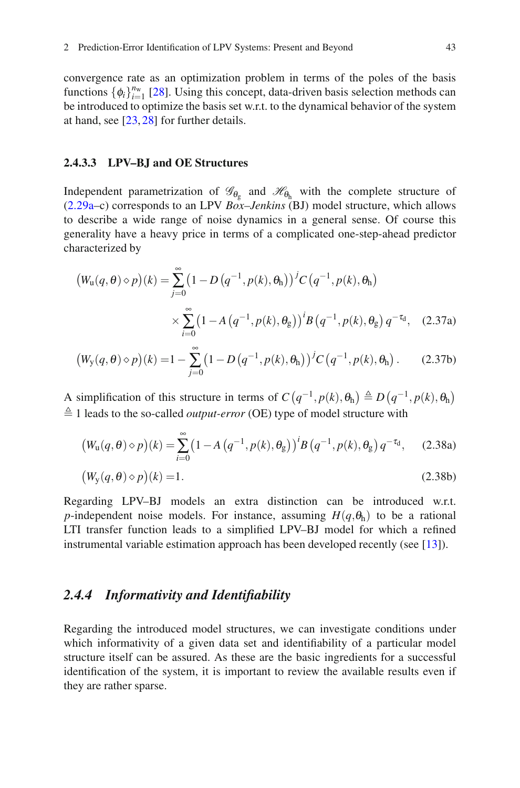convergence rate as an optimization problem in terms of the poles of the basis functions  $\{\phi_i\}_{i=1}^{n_w}$  [28]. Using this concept, data-driven basis selection methods can be introduced to optimize the basis set w.r.t. to the dynamical behavior of the system at hand, see [23, 28] for further details.

#### **2.4.3.3 LPV–BJ and OE Structures**

Independent parametrization of  $\mathscr{G}_{\theta_{g}}$  and  $\mathscr{H}_{\theta_{h}}$  with the complete structure of (2.29a–c) corresponds to an LPV *Box–Jenkins* (BJ) model structure, which allows to describe a wide range of noise dynamics in a general sense. Of course this generality have a heavy price in terms of a complicated one-step-ahead predictor characterized by

$$
\left(W_{\mathbf{u}}(q,\theta) \diamond p\right)(k) = \sum_{j=0}^{\infty} \left(1 - D\left(q^{-1}, p(k), \theta_{\mathbf{h}}\right)\right)^j C\left(q^{-1}, p(k), \theta_{\mathbf{h}}\right)
$$

$$
\times \sum_{i=0}^{\infty} \left(1 - A\left(q^{-1}, p(k), \theta_{\mathbf{g}}\right)\right)^i B\left(q^{-1}, p(k), \theta_{\mathbf{g}}\right) q^{-\tau_{\mathbf{d}}}, \quad (2.37a)
$$

$$
(W_{\mathbf{y}}(q,\theta) \diamond p)(k) = 1 - \sum_{j=0}^{\infty} \left(1 - D\left(q^{-1}, p(k), \theta_{\mathbf{h}}\right)\right)^j C\left(q^{-1}, p(k), \theta_{\mathbf{h}}\right). \tag{2.37b}
$$

A simplification of this structure in terms of  $C(q^{-1}, p(k), \theta_h) \triangleq D(q^{-1}, p(k), \theta_h)$  $\triangleq$  1 leads to the so-called *output-error* (OE) type of model structure with

$$
(W_{\mathbf{u}}(q,\theta) \diamond p)(k) = \sum_{i=0}^{\infty} \left(1 - A\left(q^{-1}, p(k), \theta_{\mathbf{g}}\right)\right)^i B\left(q^{-1}, p(k), \theta_{\mathbf{g}}\right) q^{-\tau_{\mathbf{d}}},\qquad(2.38a)
$$

$$
(W_{\mathbf{y}}(q,\theta) \diamond p)(k) = 1. \tag{2.38b}
$$

Regarding LPV–BJ models an extra distinction can be introduced w.r.t. *p*-independent noise models. For instance, assuming  $H(q, \theta_h)$  to be a rational LTI transfer function leads to a simplified LPV–BJ model for which a refined instrumental variable estimation approach has been developed recently (see [13]).

### *2.4.4 Informativity and Identifiability*

Regarding the introduced model structures, we can investigate conditions under which informativity of a given data set and identifiability of a particular model structure itself can be assured. As these are the basic ingredients for a successful identification of the system, it is important to review the available results even if they are rather sparse.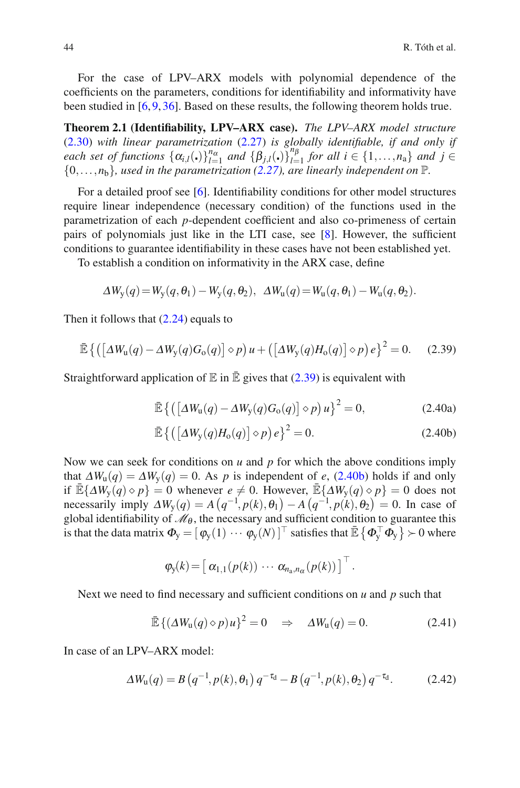For the case of LPV–ARX models with polynomial dependence of the coefficients on the parameters, conditions for identifiability and informativity have been studied in [6, 9, 36]. Based on these results, the following theorem holds true.

**Theorem 2.1 (Identifiability, LPV–ARX case).** *The LPV–ARX model structure* (2.30) *with linear parametrization* (2.27) *is globally identifiable, if and only if each set of functions*  $\{\alpha_{i,l}(\cdot)\}_{l=1}^{n_{\alpha}}$  *and*  $\{\beta_{j,l}(\cdot)\}_{l=1}^{n_{\beta}}$  *for all*  $i \in \{1, ..., n_{a}\}$  *and*  $j \in$  $\{0,\ldots,n_{\rm b}\}\$ , used in the parametrization (2.27), are linearly independent on  $\mathbb P$ .

For a detailed proof see [6]. Identifiability conditions for other model structures require linear independence (necessary condition) of the functions used in the parametrization of each *p*-dependent coefficient and also co-primeness of certain pairs of polynomials just like in the LTI case, see [8]. However, the sufficient conditions to guarantee identifiability in these cases have not been established yet.

To establish a condition on informativity in the ARX case, define

$$
\Delta W_{\rm y}(q) = W_{\rm y}(q,\theta_1) - W_{\rm y}(q,\theta_2), \ \Delta W_{\rm u}(q) = W_{\rm u}(q,\theta_1) - W_{\rm u}(q,\theta_2).
$$

Then it follows that  $(2.24)$  equals to

$$
\mathbb{E}\left\{\left(\left[\Delta W_{\mathrm{u}}(q) - \Delta W_{\mathrm{y}}(q)G_{\mathrm{o}}(q)\right] \diamond p\right)u + \left(\left[\Delta W_{\mathrm{y}}(q)H_{\mathrm{o}}(q)\right] \diamond p\right)e\right\}^2 = 0. \tag{2.39}
$$

Straightforward application of  $\mathbb E$  in  $\mathbb \bar{\mathbb E}$  gives that (2.39) is equivalent with

$$
\mathbb{E}\left\{\left(\left[\Delta W_{\mathbf{u}}(q) - \Delta W_{\mathbf{y}}(q)G_{\mathbf{o}}(q)\right] \diamond p\right)u\right\}^2 = 0,\tag{2.40a}
$$

$$
\mathbb{E}\left\{ \left( \left[ \Delta W_{\mathcal{Y}}(q)H_0(q) \right] \diamond p \right) e \right\}^2 = 0. \tag{2.40b}
$$

Now we can seek for conditions on *u* and *p* for which the above conditions imply that  $\Delta W_u(q) = \Delta W_v(q) = 0$ . As *p* is independent of *e*, (2.40b) holds if and only if  $\mathbb{E}\{\Delta W_y(q) \diamond p\} = 0$  whenever  $e \neq 0$ . However,  $\mathbb{E}\{\Delta W_y(q) \diamond p\} = 0$  does not necessarily imply  $\Delta W_y(q) = A(q^{-1}, p(k), \theta_1) - A(q^{-1}, p(k), \theta_2) = 0$ . In case of global identifiability of  $\mathcal{M}_{\theta}$ , the necessary and sufficient condition to guarantee this is that the data matrix  $\Phi_y = [\varphi_y(1) \cdots \varphi_y(N)]^\top$  satisfies that  $\mathbb{\bar E}\left\{\bm{\Phi}_y^\top \bm{\Phi}_y\right\} \succ 0$  where

$$
\varphi_{\mathsf{y}}(k) = \left[ \alpha_{1,1}(p(k)) \cdots \alpha_{n_{\mathsf{a}},n_{\alpha}}(p(k)) \right]^\top.
$$

Next we need to find necessary and sufficient conditions on *u* and *p* such that

$$
\mathbb{E}\left\{(\Delta W_{\mathbf{u}}(q) \diamond p)u\right\}^2 = 0 \quad \Rightarrow \quad \Delta W_{\mathbf{u}}(q) = 0. \tag{2.41}
$$

In case of an LPV–ARX model:

$$
\Delta W_{\rm u}(q) = B\left(q^{-1}, p(k), \theta_1\right) q^{-\tau_{\rm d}} - B\left(q^{-1}, p(k), \theta_2\right) q^{-\tau_{\rm d}}.\tag{2.42}
$$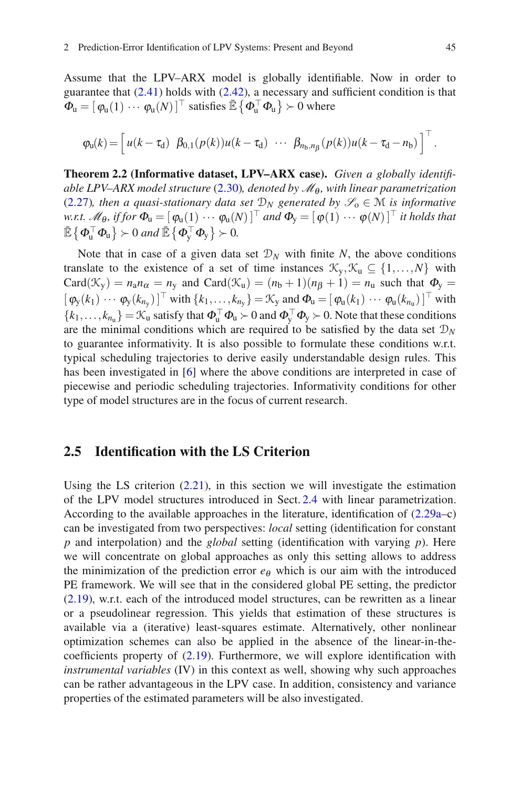Assume that the LPV–ARX model is globally identifiable. Now in order to guarantee that  $(2.41)$  holds with  $(2.42)$ , a necessary and sufficient condition is that  $\Phi_{\mathsf{u}} = [\varphi_{\mathsf{u}}(1) \cdots \varphi_{\mathsf{u}}(N)]^\top$  satisfies  $\bar{\mathbb{E}} \left\{ \Phi_{\mathsf{u}}^\top \Phi_{\mathsf{u}} \right\} \succ 0$  where

$$
\varphi_{\mathsf{u}}(k) = \left[ u(k-\tau_{\mathsf{d}}) \ \beta_{0,1}(p(k))u(k-\tau_{\mathsf{d}}) \ \cdots \ \beta_{n_{\mathsf{b}},n_{\beta}}(p(k))u(k-\tau_{\mathsf{d}}-n_{\mathsf{b}}) \right]^\top.
$$

**Theorem 2.2 (Informative dataset, LPV–ARX case).** *Given a globally identifiable LPV–ARX model structure* (2.30), denoted by  $\mathcal{M}_{\theta}$ , with linear parametrization (2.27)*, then a quasi-stationary data set*  $\mathcal{D}_N$  *generated by*  $\mathcal{S}_0 \in \mathcal{M}$  *is informative* w.r.t.  $\mathscr{M}_{\Theta}$ , if for  $\Phi_{\mathrm{u}} = [\varphi_{\mathrm{u}}(1) \cdots \varphi_{\mathrm{u}}(N)]^{\top}$  and  $\Phi_{\mathrm{y}} = [\varphi(1) \cdots \varphi(N)]^{\top}$  it holds that  $\mathbb{\bar{E}} \left\{\boldsymbol{\Phi}_{\boldsymbol{u}}^{\top} \boldsymbol{\Phi}_{\boldsymbol{u}}\right\} \succ 0$  and  $\mathbb{\bar{E}} \left\{\boldsymbol{\Phi}_{\boldsymbol{y}}^{\top} \boldsymbol{\Phi}_{\boldsymbol{y}}\right\} \succ 0$ .

Note that in case of a given data set  $\mathcal{D}_N$  with finite *N*, the above conditions translate to the existence of a set of time instances  $\mathcal{K}_v, \mathcal{K}_u \subseteq \{1, \ldots, N\}$  with Card( $\mathcal{K}_y$ ) =  $n_a n_\alpha = n_y$  and Card( $\mathcal{K}_u$ ) =  $(n_b + 1)(n_\beta + 1) = n_u$  such that  $\Phi_y$  =  $[\varphi_y(k_1) \cdots \varphi_y(k_{n_y})]^\top$  with  $\{k_1,\ldots,k_{n_y}\} = \mathcal{K}_y$  and  $\Phi_u = [\varphi_u(k_1) \cdots \varphi_u(k_{n_u})]^\top$  with  $\{k_1,\ldots,k_{n_u}\} = \mathcal{K}_u$  satisfy that  $\Phi_u^{\top} \Phi_u \succ 0$  and  $\Phi_y^{\top} \Phi_y \succ 0$ . Note that these conditions are the minimal conditions which are required to be satisfied by the data set  $\mathcal{D}_N$ to guarantee informativity. It is also possible to formulate these conditions w.r.t. typical scheduling trajectories to derive easily understandable design rules. This has been investigated in [6] where the above conditions are interpreted in case of piecewise and periodic scheduling trajectories. Informativity conditions for other type of model structures are in the focus of current research.

### **2.5 Identification with the LS Criterion**

Using the LS criterion  $(2.21)$ , in this section we will investigate the estimation of the LPV model structures introduced in Sect. 2.4 with linear parametrization. According to the available approaches in the literature, identification of  $(2.29a - c)$ can be investigated from two perspectives: *local* setting (identification for constant *p* and interpolation) and the *global* setting (identification with varying *p*). Here we will concentrate on global approaches as only this setting allows to address the minimization of the prediction error  $e_{\theta}$  which is our aim with the introduced PE framework. We will see that in the considered global PE setting, the predictor (2.19), w.r.t. each of the introduced model structures, can be rewritten as a linear or a pseudolinear regression. This yields that estimation of these structures is available via a (iterative) least-squares estimate. Alternatively, other nonlinear optimization schemes can also be applied in the absence of the linear-in-thecoefficients property of  $(2.19)$ . Furthermore, we will explore identification with *instrumental variables* (IV) in this context as well, showing why such approaches can be rather advantageous in the LPV case. In addition, consistency and variance properties of the estimated parameters will be also investigated.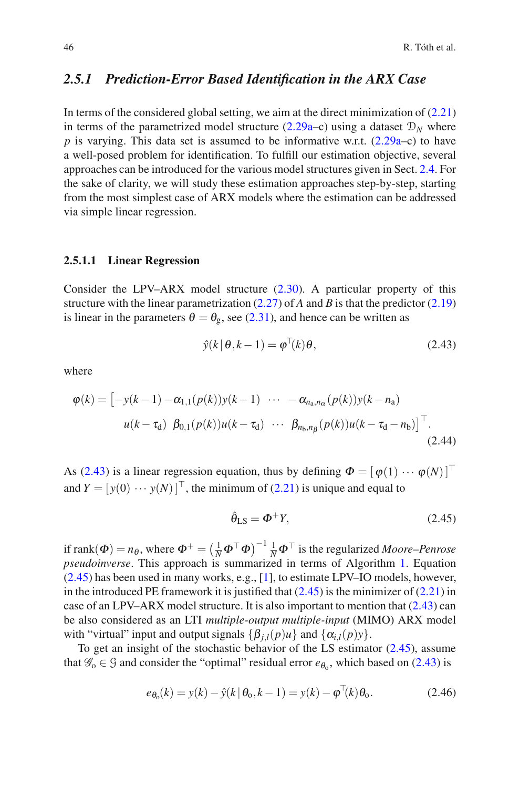### *2.5.1 Prediction-Error Based Identification in the ARX Case*

In terms of the considered global setting, we aim at the direct minimization of (2.21) in terms of the parametrized model structure  $(2.29a-c)$  using a dataset  $\mathcal{D}_N$  where *p* is varying. This data set is assumed to be informative w.r.t.  $(2.29a-c)$  to have a well-posed problem for identification. To fulfill our estimation objective, several approaches can be introduced for the various model structures given in Sect. 2.4. For the sake of clarity, we will study these estimation approaches step-by-step, starting from the most simplest case of ARX models where the estimation can be addressed via simple linear regression.

#### **2.5.1.1 Linear Regression**

Consider the LPV–ARX model structure (2.30). A particular property of this structure with the linear parametrization (2.27) of *A* and *B* is that the predictor (2.19) is linear in the parameters  $\theta = \theta_{g}$ , see (2.31), and hence can be written as

$$
\hat{y}(k | \theta, k - 1) = \varphi^{\top}(k)\theta, \qquad (2.43)
$$

where

$$
\varphi(k) = \left[ -y(k-1) - \alpha_{1,1}(p(k))y(k-1) \cdots - \alpha_{n_a,n_a}(p(k))y(k-n_a) \right]
$$

$$
u(k-\tau_d) \ \beta_{0,1}(p(k))u(k-\tau_d) \ \cdots \ \beta_{n_b,n_b}(p(k))u(k-\tau_d-n_b) \right]^\top.
$$
(2.44)

As (2.43) is a linear regression equation, thus by defining  $\Phi = [\varphi(1) \cdots \varphi(N)]^T$ and  $Y = [y(0) \cdots y(N)]^T$ , the minimum of (2.21) is unique and equal to

$$
\hat{\theta}_{\text{LS}} = \Phi^+ Y,\tag{2.45}
$$

if rank $(\Phi) = n_{\theta}$ , where  $\Phi^+ = \left(\frac{1}{N} \Phi^{\top} \Phi\right)^{-1} \frac{1}{N} \Phi^{\top}$  is the regularized *Moore–Penrose pseudoinverse*. This approach is summarized in terms of Algorithm 1. Equation (2.45) has been used in many works, e.g., [1], to estimate LPV–IO models, however, in the introduced PE framework it is justified that  $(2.45)$  is the minimizer of  $(2.21)$  in case of an LPV–ARX model structure. It is also important to mention that (2.43) can be also considered as an LTI *multiple-output multiple-input* (MIMO) ARX model with "virtual" input and output signals  $\{\beta_{i,l}(p)u\}$  and  $\{\alpha_{i,l}(p)y\}$ .

To get an insight of the stochastic behavior of the LS estimator (2.45), assume that  $\mathscr{G}_0 \in \mathcal{G}$  and consider the "optimal" residual error  $e_{\theta_0}$ , which based on (2.43) is

$$
e_{\theta_0}(k) = y(k) - \hat{y}(k | \theta_0, k - 1) = y(k) - \varphi^{\top}(k)\theta_0.
$$
 (2.46)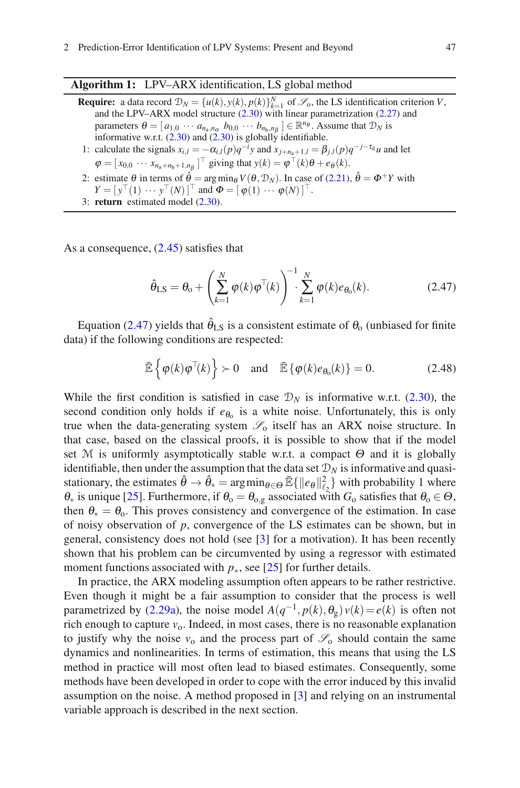#### **Algorithm 1:** LPV–ARX identification, LS global method

- **Require:** a data record  $\mathcal{D}_N = \{u(k), y(k), p(k)\}_{k=1}^N$  of  $\mathcal{S}_0$ , the LS identification criterion *V*, and the LPV–ARX model structure  $(2.30)$  with linear parametrization  $(2.27)$  and parameters  $\theta = [a_{1,0} \cdots a_{n_a,n_a} b_{0,0} \cdots b_{n_b,n_b}] \in \mathbb{R}^{n_\theta}$ . Assume that  $\mathcal{D}_N$  is informative w.r.t.  $(2.30)$  and  $(2.30)$  is globally identifiable.
- 1: calculate the signals  $x_{i,l} = -\alpha_{i,l}(p)q^{-i}y$  and  $x_{j+n_1,l} = \beta_{j,l}(p)q^{-j-\tau_d}u$  and let  $\varphi = [x_{0,0} \cdots x_{n_{a}+n_{b}+1,n_{\beta}}]^{\top}$  giving that  $y(k) = \varphi^{\top}(k)\theta + e_{\theta}(k)$ .
- 2: estimate  $\theta$  in terms of  $\hat{\theta} = \arg \min_{\theta} V(\theta, \mathcal{D}_N)$ . In case of (2.21),  $\hat{\theta} = \Phi^+ Y$  with  $Y = [y^\top (1) \cdots y^\top (N)]^\top$  and  $\Phi = [\varphi(1) \cdots \varphi(N)]^\top$ .
- 3: **return** estimated model (2.30).

As a consequence,  $(2.45)$  satisfies that

$$
\hat{\theta}_{\text{LS}} = \theta_{\text{o}} + \left(\sum_{k=1}^{N} \varphi(k) \varphi^{\top}(k)\right)^{-1} \sum_{k=1}^{N} \varphi(k) e_{\theta_{\text{o}}}(k). \tag{2.47}
$$

Equation (2.47) yields that  $\hat{\theta}_{LS}$  is a consistent estimate of  $\theta_{0}$  (unbiased for finite data) if the following conditions are respected:

$$
\bar{\mathbb{E}}\left\{\varphi(k)\varphi^{\top}(k)\right\} \succ 0 \quad \text{and} \quad \bar{\mathbb{E}}\left\{\varphi(k)e_{\theta_0}(k)\right\} = 0. \tag{2.48}
$$

While the first condition is satisfied in case  $\mathcal{D}_N$  is informative w.r.t. (2.30), the second condition only holds if  $e_{\theta_0}$  is a white noise. Unfortunately, this is only true when the data-generating system  $\mathcal{S}_0$  itself has an ARX noise structure. In that case, based on the classical proofs, it is possible to show that if the model set M is uniformly asymptotically stable w.r.t. a compact  $\Theta$  and it is globally identifiable, then under the assumption that the data set  $\mathcal{D}_N$  is informative and quasistationary, the estimates  $\hat{\theta} \to \hat{\theta}_* = \arg\min_{\theta \in \Theta} \mathbb{E}\{\|\mathcal{e}_{\theta}\|_{\ell_2}^2\}$  with probability 1 where  $\theta_*$  is unique [25]. Furthermore, if  $\theta_0 = \theta_{0,g}$  associated with  $G_0$  satisfies that  $\theta_0 \in \Theta$ , then  $\theta_* = \theta_0$ . This proves consistency and convergence of the estimation. In case of noisy observation of *p*, convergence of the LS estimates can be shown, but in general, consistency does not hold (see [3] for a motivation). It has been recently shown that his problem can be circumvented by using a regressor with estimated moment functions associated with *p*∗, see [25] for further details.

In practice, the ARX modeling assumption often appears to be rather restrictive. Even though it might be a fair assumption to consider that the process is well parametrized by (2.29a), the noise model  $A(q^{-1}, p(k), \theta_g) v(k) = e(k)$  is often not rich enough to capture  $v_0$ . Indeed, in most cases, there is no reasonable explanation to justify why the noise  $v_0$  and the process part of  $\mathscr{S}_0$  should contain the same dynamics and nonlinearities. In terms of estimation, this means that using the LS method in practice will most often lead to biased estimates. Consequently, some methods have been developed in order to cope with the error induced by this invalid assumption on the noise. A method proposed in [3] and relying on an instrumental variable approach is described in the next section.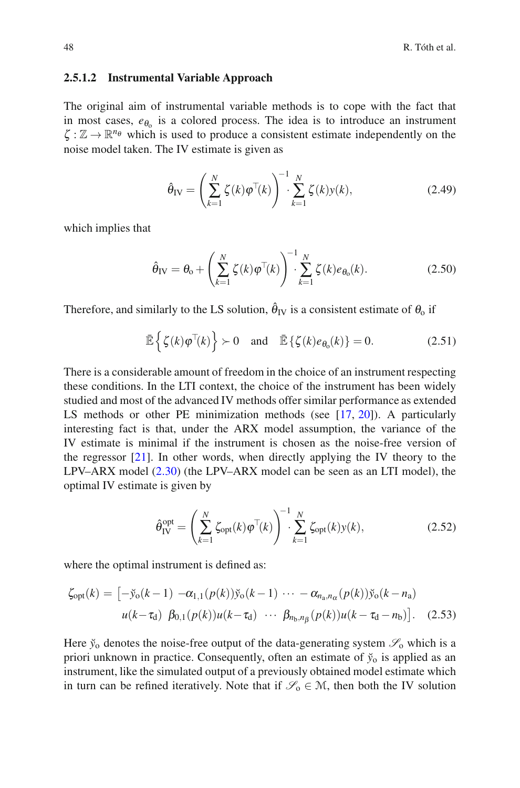#### **2.5.1.2 Instrumental Variable Approach**

The original aim of instrumental variable methods is to cope with the fact that in most cases,  $e_{\theta_0}$  is a colored process. The idea is to introduce an instrument  $\zeta : \mathbb{Z} \to \mathbb{R}^{n_{\theta}}$  which is used to produce a consistent estimate independently on the noise model taken. The IV estimate is given as

$$
\hat{\theta}_{\text{IV}} = \left(\sum_{k=1}^{N} \zeta(k)\varphi^{\top}(k)\right)^{-1} \sum_{k=1}^{N} \zeta(k)y(k),\tag{2.49}
$$

which implies that

$$
\hat{\theta}_{\rm IV} = \theta_{\rm o} + \left(\sum_{k=1}^{N} \zeta(k)\varphi^{\top}(k)\right)^{-1} \sum_{k=1}^{N} \zeta(k)e_{\theta_{\rm o}}(k). \tag{2.50}
$$

Therefore, and similarly to the LS solution,  $\hat{\theta}_{IV}$  is a consistent estimate of  $\theta_{0}$  if

$$
\mathbb{E}\left\{\zeta(k)\varphi^{\top}(k)\right\} \succ 0 \quad \text{and} \quad \mathbb{E}\left\{\zeta(k)e_{\theta_0}(k)\right\} = 0. \tag{2.51}
$$

There is a considerable amount of freedom in the choice of an instrument respecting these conditions. In the LTI context, the choice of the instrument has been widely studied and most of the advanced IV methods offer similar performance as extended LS methods or other PE minimization methods (see  $[17, 20]$ ). A particularly interesting fact is that, under the ARX model assumption, the variance of the IV estimate is minimal if the instrument is chosen as the noise-free version of the regressor [21]. In other words, when directly applying the IV theory to the LPV–ARX model (2.30) (the LPV–ARX model can be seen as an LTI model), the optimal IV estimate is given by

$$
\hat{\theta}_{\text{IV}}^{\text{opt}} = \left(\sum_{k=1}^{N} \zeta_{\text{opt}}(k) \varphi^{\top}(k)\right)^{-1} \sum_{k=1}^{N} \zeta_{\text{opt}}(k) y(k), \tag{2.52}
$$

where the optimal instrument is defined as:

$$
\zeta_{\rm opt}(k) = \left[ -\breve{y}_0(k-1) - \alpha_{1,1}(p(k))\breve{y}_0(k-1) \cdots - \alpha_{n_a,n_a}(p(k))\breve{y}_0(k-n_a) \right]
$$
  

$$
u(k-\tau_d) \beta_{0,1}(p(k))u(k-\tau_d) \cdots \beta_{n_b,n_b}(p(k))u(k-\tau_d-n_b) \right].
$$
 (2.53)

Here  $\check{y}_o$  denotes the noise-free output of the data-generating system  $\mathscr{S}_o$  which is a priori unknown in practice. Consequently, often an estimate of  $\check{y}_o$  is applied as an instrument, like the simulated output of a previously obtained model estimate which in turn can be refined iteratively. Note that if  $\mathscr{S}_0 \in \mathcal{M}$ , then both the IV solution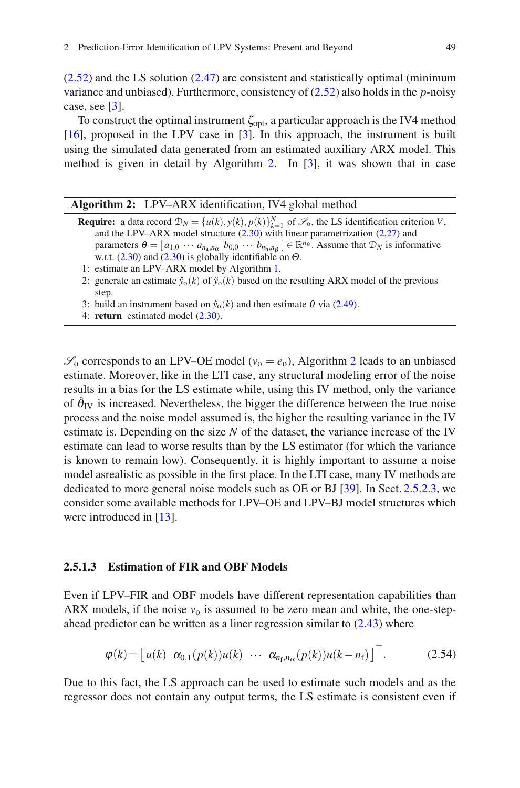(2.52) and the LS solution (2.47) are consistent and statistically optimal (minimum variance and unbiased). Furthermore, consistency of (2.52) also holds in the *p*-noisy case, see [3].

To construct the optimal instrument  $\zeta_{\text{opt}}$ , a particular approach is the IV4 method  $[16]$ , proposed in the LPV case in  $[3]$ . In this approach, the instrument is built using the simulated data generated from an estimated auxiliary ARX model. This method is given in detail by Algorithm 2. In [3], it was shown that in case

#### **Algorithm 2:** LPV–ARX identification, IV4 global method

- **Require:** a data record  $\mathcal{D}_N = \{u(k), y(k), p(k)\}_{k=1}^N$  of  $\mathcal{S}_0$ , the LS identification criterion *V*, and the LPV–ARX model structure (2.30) with linear parametrization (2.27) and parameters  $\theta = [a_{1,0} \cdots a_{n_a,n_a} b_{0,0} \cdots b_{n_b,n_b}] \in \mathbb{R}^{n_\theta}$ . Assume that  $\mathcal{D}_N$  is informative w.r.t.  $(2.30)$  and  $(2.30)$  is globally identifiable on  $\Theta$ .
- 1: estimate an LPV–ARX model by Algorithm 1.
- 2: generate an estimate  $\hat{y}_0(k)$  of  $\check{y}_0(k)$  based on the resulting ARX model of the previous step.
- 3: build an instrument based on  $\hat{y}_0(k)$  and then estimate  $\theta$  via (2.49).
- 4: **return** estimated model (2.30).

 $\mathscr{S}_0$  corresponds to an LPV–OE model ( $v_0 = e_0$ ), Algorithm 2 leads to an unbiased estimate. Moreover, like in the LTI case, any structural modeling error of the noise results in a bias for the LS estimate while, using this IV method, only the variance of  $\hat{\theta}_{IV}$  is increased. Nevertheless, the bigger the difference between the true noise process and the noise model assumed is, the higher the resulting variance in the IV estimate is. Depending on the size *N* of the dataset, the variance increase of the IV estimate can lead to worse results than by the LS estimator (for which the variance is known to remain low). Consequently, it is highly important to assume a noise model asrealistic as possible in the first place. In the LTI case, many IV methods are dedicated to more general noise models such as OE or BJ [39]. In Sect. 2.5.2.3, we consider some available methods for LPV–OE and LPV–BJ model structures which were introduced in [13].

#### **2.5.1.3 Estimation of FIR and OBF Models**

Even if LPV–FIR and OBF models have different representation capabilities than ARX models, if the noise  $v_0$  is assumed to be zero mean and white, the one-stepahead predictor can be written as a liner regression similar to  $(2.43)$  where

$$
\varphi(k) = \begin{bmatrix} u(k) & \alpha_{0,1}(p(k))u(k) & \cdots & \alpha_{n_f,n_\alpha}(p(k))u(k-n_f) \end{bmatrix}^\top.
$$
 (2.54)

Due to this fact, the LS approach can be used to estimate such models and as the regressor does not contain any output terms, the LS estimate is consistent even if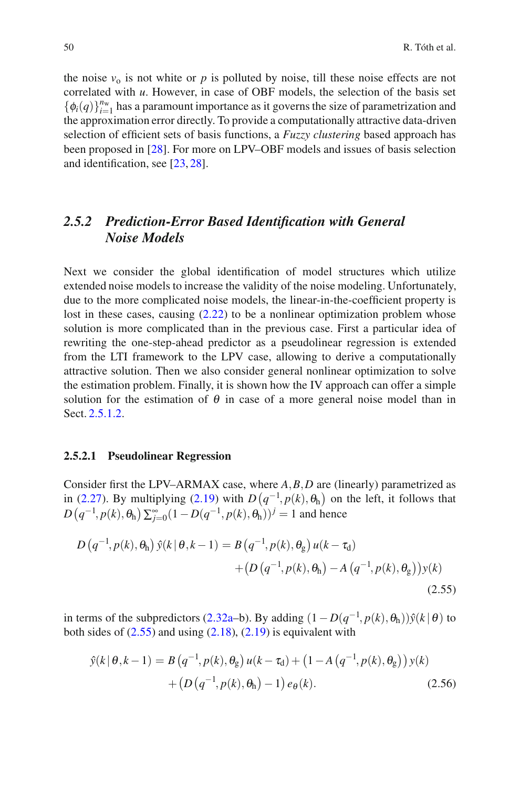the noise  $v_0$  is not white or  $p$  is polluted by noise, till these noise effects are not correlated with *u*. However, in case of OBF models, the selection of the basis set  ${\phi_i(q)}_{i=1}^{n_w}$  has a paramount importance as it governs the size of parametrization and the approximation error directly. To provide a computationally attractive data-driven selection of efficient sets of basis functions, a *Fuzzy clustering* based approach has been proposed in [28]. For more on LPV–OBF models and issues of basis selection and identification, see [23, 28].

# *2.5.2 Prediction-Error Based Identification with General Noise Models*

Next we consider the global identification of model structures which utilize extended noise models to increase the validity of the noise modeling. Unfortunately, due to the more complicated noise models, the linear-in-the-coefficient property is lost in these cases, causing  $(2.22)$  to be a nonlinear optimization problem whose solution is more complicated than in the previous case. First a particular idea of rewriting the one-step-ahead predictor as a pseudolinear regression is extended from the LTI framework to the LPV case, allowing to derive a computationally attractive solution. Then we also consider general nonlinear optimization to solve the estimation problem. Finally, it is shown how the IV approach can offer a simple solution for the estimation of  $\theta$  in case of a more general noise model than in Sect. 2.5.1.2.

#### **2.5.2.1 Pseudolinear Regression**

Consider first the LPV–ARMAX case, where *A*,*B*,*D* are (linearly) parametrized as in (2.27). By multiplying (2.19) with  $D(q^{-1}, p(k), \theta_h)$  on the left, it follows that  $D(q^{-1}, p(k), \theta_h) \sum_{j=0}^{\infty} (1 - D(q^{-1}, p(k), \theta_h))^j = 1$  and hence

$$
D(q^{-1}, p(k), \theta_{\rm h}) \hat{y}(k | \theta, k - 1) = B(q^{-1}, p(k), \theta_{\rm g}) u(k - \tau_{\rm d}) + (D(q^{-1}, p(k), \theta_{\rm h}) - A(q^{-1}, p(k), \theta_{\rm g})) y(k)
$$
\n(2.55)

in terms of the subpredictors (2.32a–b). By adding  $(1 - D(q^{-1}, p(k), \theta_h))\hat{y}(k | \theta)$  to both sides of  $(2.55)$  and using  $(2.18)$ ,  $(2.19)$  is equivalent with

$$
\hat{y}(k | \theta, k - 1) = B(q^{-1}, p(k), \theta_{g}) u(k - \tau_{d}) + (1 - A(q^{-1}, p(k), \theta_{g})) y(k) + (D(q^{-1}, p(k), \theta_{h}) - 1) e_{\theta}(k).
$$
\n(2.56)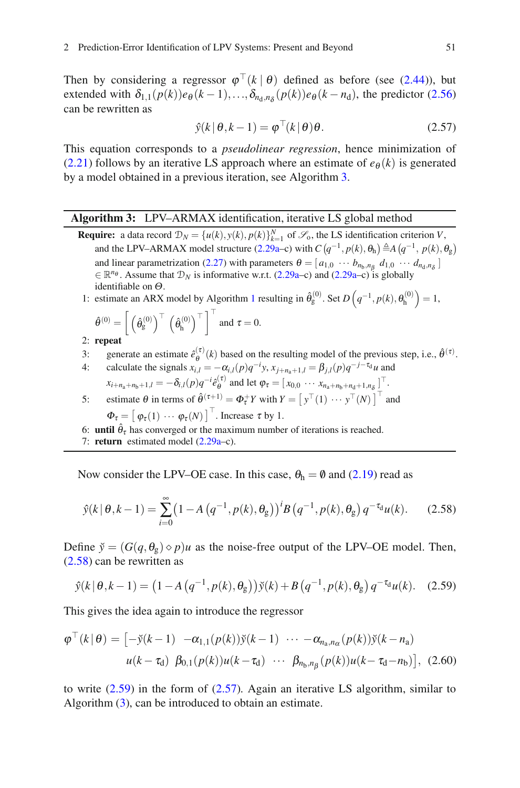Then by considering a regressor  $\varphi^{\top}(k | \theta)$  defined as before (see (2.44)), but extended with  $\delta_{1,1}(p(k))e_{\theta}(k-1),...,\delta_{n_d,n_{\delta}}(p(k))e_{\theta}(k-n_d)$ , the predictor (2.56) can be rewritten as

$$
\hat{y}(k | \theta, k - 1) = \varphi^{\top}(k | \theta) \theta.
$$
\n(2.57)

This equation corresponds to a *pseudolinear regression*, hence minimization of (2.21) follows by an iterative LS approach where an estimate of  $e_{\theta}(k)$  is generated by a model obtained in a previous iteration, see Algorithm 3.

#### **Algorithm 3:** LPV–ARMAX identification, iterative LS global method

- **Require:** a data record  $\mathcal{D}_N = \{u(k), y(k), p(k)\}_{k=1}^N$  of  $\mathcal{S}_0$ , the LS identification criterion *V*, and the LPV–ARMAX model structure (2.29a–c) with  $C(q^{-1}, p(k), \theta_h) \triangleq A(q^{-1}, p(k), \theta_g)$ and linear parametrization (2.27) with parameters  $\theta = [a_{1,0} \cdots b_{n_b,n_b} d_{1,0} \cdots d_{n_d,n_b}]$ ∈  $\mathbb{R}^{n_{\theta}}$ . Assume that  $\mathcal{D}_N$  is informative w.r.t. (2.29a–c) and (2.29a–c) is globally identifiable on Θ.
- 1: estimate an ARX model by Algorithm 1 resulting in  $\hat{\theta}_{g}^{(0)}$ . Set  $D\left(q^{-1}, p(k), \theta_{h}^{(0)}\right) = 1$ ,

$$
\hat{\theta}^{(0)} = \left[ \left( \hat{\theta}_{g}^{(0)} \right)^{\top} \left( \hat{\theta}_{h}^{(0)} \right)^{\top} \right]^{\top} \text{ and } \tau = 0.
$$
\n**repeat**

#### $2:$

- 3: generate an estimate  $\hat{e}_{\theta}^{(\tau)}(k)$  based on the resulting model of the previous step, i.e.,  $\hat{\theta}^{(\tau)}$ .
- 4: calculate the signals  $x_{i,l} = -\alpha_{i,l}(p)q^{-i}y$ ,  $x_{j+n_a+1,l} = \beta_{j,l}(p)q^{-j-\tau_d}u$  and *xi*+*n*a+*n*b+1,*<sup>l</sup>* = −δ*i*,*l*(*p*)*q*−*<sup>i</sup> e*ˆ (τ) <sup>θ</sup> and let <sup>ϕ</sup><sup>τ</sup> = [ *x*0,<sup>0</sup> ··· *xn*a+*n*b+*n*d+1,*n*<sup>δ</sup> ] .
- 5: estimate  $\theta$  in terms of  $\hat{\theta}^{(\tau+1)} = \Phi_\tau^+ Y$  with  $Y = \left[ y^\top (1) \cdots y^\top (N) \right]^\top$  and  $\Phi_{\tau} = \left[\varphi_{\tau}(1) \cdots \varphi_{\tau}(N)\right]^{\top}$ . Increase  $\tau$  by 1.
- 6: **until**  $\hat{\theta}_{\tau}$  has converged or the maximum number of iterations is reached.
- 7: **return** estimated model (2.29a–c).

Now consider the LPV–OE case. In this case,  $\theta_h = \emptyset$  and (2.19) read as

$$
\hat{y}(k | \theta, k - 1) = \sum_{i=0}^{\infty} \left( 1 - A\left( q^{-1}, p(k), \theta_{g} \right) \right)^{i} B\left( q^{-1}, p(k), \theta_{g} \right) q^{-\tau_{d}} u(k). \tag{2.58}
$$

Define  $\breve{y} = (G(q, \theta_g) \diamond p)u$  as the noise-free output of the LPV–OE model. Then, (2.58) can be rewritten as

$$
\hat{y}(k | \theta, k - 1) = (1 - A(q^{-1}, p(k), \theta_{g}))\check{y}(k) + B(q^{-1}, p(k), \theta_{g})q^{-\tau_{d}}u(k). \quad (2.59)
$$

This gives the idea again to introduce the regressor

$$
\varphi^{\top}(k|\theta) = [-\breve{y}(k-1) - \alpha_{1,1}(p(k))\breve{y}(k-1) \cdots - \alpha_{n_a,n_a}(p(k))\breve{y}(k-n_a) \nu(k-\tau_d) \beta_{0,1}(p(k))u(k-\tau_d) \cdots \beta_{n_b,n_b}(p(k))u(k-\tau_d-n_b)], (2.60)
$$

to write  $(2.59)$  in the form of  $(2.57)$ . Again an iterative LS algorithm, similar to Algorithm (3), can be introduced to obtain an estimate.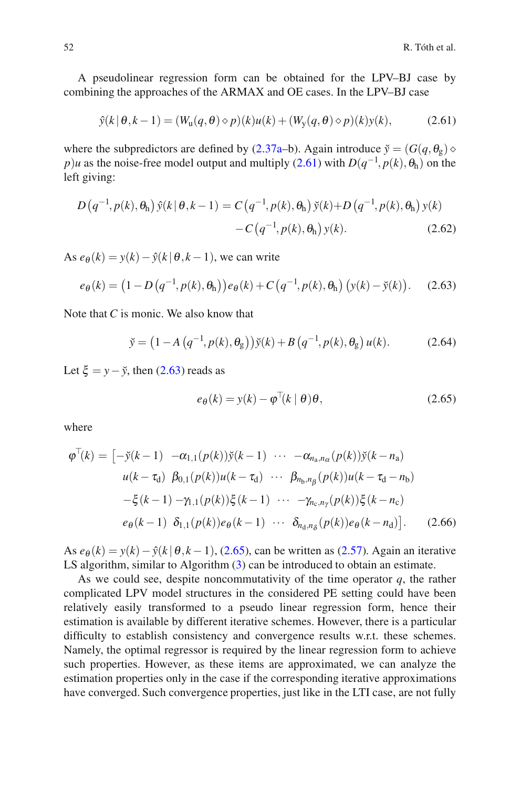A pseudolinear regression form can be obtained for the LPV–BJ case by combining the approaches of the ARMAX and OE cases. In the LPV–BJ case

$$
\hat{y}(k | \theta, k-1) = (W_u(q, \theta) \diamond p)(k)u(k) + (W_y(q, \theta) \diamond p)(k)y(k), \quad (2.61)
$$

where the subpredictors are defined by (2.37a–b). Again introduce  $\breve{y} = (G(q, \theta_g) \diamond$ *p*)*u* as the noise-free model output and multiply (2.61) with  $D(q^{-1}, p(k), \theta_h)$  on the left giving:

$$
D(q^{-1}, p(k), \theta_{\rm h}) \hat{y}(k | \theta, k - 1) = C(q^{-1}, p(k), \theta_{\rm h}) \check{y}(k) + D(q^{-1}, p(k), \theta_{\rm h}) y(k) - C(q^{-1}, p(k), \theta_{\rm h}) y(k).
$$
 (2.62)

As  $e_{\theta}(k) = y(k) - \hat{y}(k | \theta, k - 1)$ , we can write

$$
e_{\theta}(k) = (1 - D(q^{-1}, p(k), \theta_{h})) e_{\theta}(k) + C(q^{-1}, p(k), \theta_{h}) (y(k) - \breve{y}(k)).
$$
 (2.63)

Note that *C* is monic. We also know that

$$
\breve{y} = (1 - A(q^{-1}, p(k), \theta_{g})) \breve{y}(k) + B(q^{-1}, p(k), \theta_{g}) u(k).
$$
 (2.64)

Let  $\xi = y - \tilde{y}$ , then (2.63) reads as

$$
e_{\theta}(k) = y(k) - \varphi^{\top}(k \mid \theta)\theta, \qquad (2.65)
$$

where

$$
\varphi^{T}(k) = \left[ -\breve{y}(k-1) -\alpha_{1,1}(p(k))\breve{y}(k-1) \cdots -\alpha_{n_{a},n_{\alpha}}(p(k))\breve{y}(k-n_{a}) \right. \n\mu(k-\tau_{d}) \beta_{0,1}(p(k))\mu(k-\tau_{d}) \cdots \beta_{n_{b},n_{\beta}}(p(k))\mu(k-\tau_{d}-n_{b}) \n- \xi(k-1) -\gamma_{1,1}(p(k))\xi(k-1) \cdots -\gamma_{n_{c},n_{\gamma}}(p(k))\xi(k-n_{c}) \neq(\kappa-1) \delta_{1,1}(p(k))e_{\theta}(k-1) \cdots \delta_{n_{d},n_{\delta}}(p(k))e_{\theta}(k-n_{d}) \right].
$$
\n(2.66)

As  $e_{\theta}(k) = y(k) - \hat{y}(k | \theta, k - 1)$ , (2.65), can be written as (2.57). Again an iterative LS algorithm, similar to Algorithm (3) can be introduced to obtain an estimate.

As we could see, despite noncommutativity of the time operator *q*, the rather complicated LPV model structures in the considered PE setting could have been relatively easily transformed to a pseudo linear regression form, hence their estimation is available by different iterative schemes. However, there is a particular difficulty to establish consistency and convergence results w.r.t. these schemes. Namely, the optimal regressor is required by the linear regression form to achieve such properties. However, as these items are approximated, we can analyze the estimation properties only in the case if the corresponding iterative approximations have converged. Such convergence properties, just like in the LTI case, are not fully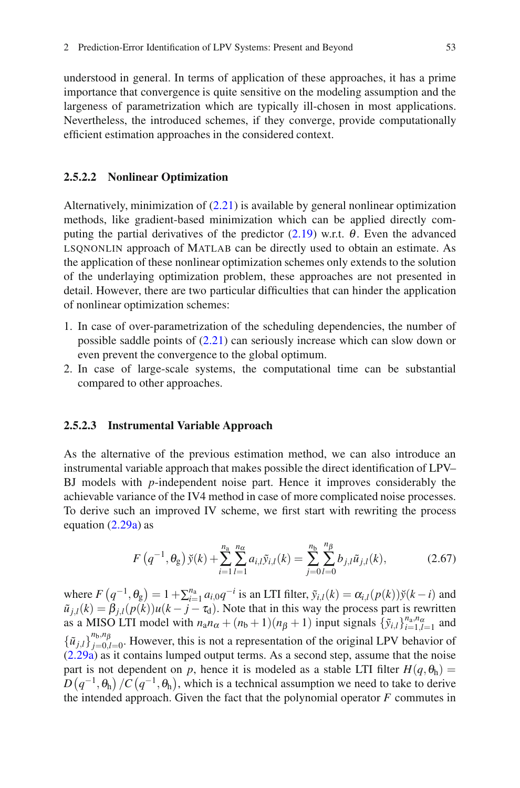understood in general. In terms of application of these approaches, it has a prime importance that convergence is quite sensitive on the modeling assumption and the largeness of parametrization which are typically ill-chosen in most applications. Nevertheless, the introduced schemes, if they converge, provide computationally efficient estimation approaches in the considered context.

#### **2.5.2.2 Nonlinear Optimization**

Alternatively, minimization of  $(2.21)$  is available by general nonlinear optimization methods, like gradient-based minimization which can be applied directly computing the partial derivatives of the predictor  $(2.19)$  w.r.t.  $\theta$ . Even the advanced LSQNONLIN approach of MATLAB can be directly used to obtain an estimate. As the application of these nonlinear optimization schemes only extends to the solution of the underlaying optimization problem, these approaches are not presented in detail. However, there are two particular difficulties that can hinder the application of nonlinear optimization schemes:

- 1. In case of over-parametrization of the scheduling dependencies, the number of possible saddle points of  $(2.21)$  can seriously increase which can slow down or even prevent the convergence to the global optimum.
- 2. In case of large-scale systems, the computational time can be substantial compared to other approaches.

#### **2.5.2.3 Instrumental Variable Approach**

As the alternative of the previous estimation method, we can also introduce an instrumental variable approach that makes possible the direct identification of LPV– BJ models with *p*-independent noise part. Hence it improves considerably the achievable variance of the IV4 method in case of more complicated noise processes. To derive such an improved IV scheme, we first start with rewriting the process equation (2.29a) as

$$
F(q^{-1}, \theta_{g}) \breve{y}(k) + \sum_{i=1}^{n_{a}} \sum_{l=1}^{n_{\alpha}} a_{i,l} \tilde{y}_{i,l}(k) = \sum_{j=0}^{n_{b}} \sum_{l=0}^{n_{\beta}} b_{j,l} \tilde{u}_{j,l}(k),
$$
 (2.67)

where  $F(q^{-1}, \theta_{g}) = 1 + \sum_{i=1}^{n_a} a_{i,0} q^{-i}$  is an LTI filter,  $\tilde{y}_{i,l}(k) = \alpha_{i,l}(p(k))\tilde{y}(k - i)$  and  $\tilde{u}_{j,l}(k) = \beta_{j,l}(p(k))u(k - j - \tau_d)$ . Note that in this way the process part is rewritten as a MISO LTI model with  $n_a n_a + (n_b + 1)(n_b + 1)$  input signals  $\{\tilde{y}_{i,l}\}_{l=1,l=1}^{n_a, n_a}$  and  ${\{\tilde{u}_{j,l}\}}_{j=0,l=0}^{n_b,n_b}$ . However, this is not a representation of the original LPV behavior of (2.29a) as it contains lumped output terms. As a second step, assume that the noise part is not dependent on *p*, hence it is modeled as a stable LTI filter  $H(q, \theta_h)$  =  $D(q^{-1},\theta_{\rm h})$  /*C*  $(q^{-1},\theta_{\rm h})$ , which is a technical assumption we need to take to derive the intended approach. Given the fact that the polynomial operator *F* commutes in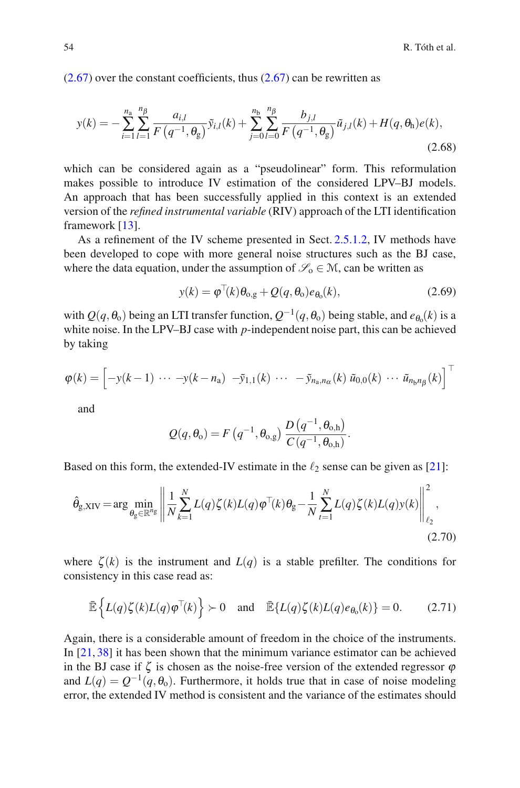$(2.67)$  over the constant coefficients, thus  $(2.67)$  can be rewritten as

$$
y(k) = -\sum_{i=1}^{n_a} \sum_{l=1}^{n_\beta} \frac{a_{i,l}}{F(q^{-1}, \theta_g)} \tilde{y}_{i,l}(k) + \sum_{j=0}^{n_b} \sum_{l=0}^{n_\beta} \frac{b_{j,l}}{F(q^{-1}, \theta_g)} \tilde{u}_{j,l}(k) + H(q, \theta_h) e(k),
$$
\n(2.68)

which can be considered again as a "pseudolinear" form. This reformulation makes possible to introduce IV estimation of the considered LPV–BJ models. An approach that has been successfully applied in this context is an extended version of the *refined instrumental variable* (RIV) approach of the LTI identification framework [13].

As a refinement of the IV scheme presented in Sect. 2.5.1.2, IV methods have been developed to cope with more general noise structures such as the BJ case, where the data equation, under the assumption of  $\mathscr{S}_0 \in \mathcal{M}$ , can be written as

$$
y(k) = \varphi^{\top}(k)\theta_{0,g} + Q(q,\theta_0)e_{\theta_0}(k),
$$
\n(2.69)

with  $Q(q, \theta_0)$  being an LTI transfer function,  $Q^{-1}(q, \theta_0)$  being stable, and  $e_{\theta_0}(k)$  is a white noise. In the LPV–BJ case with *p*-independent noise part, this can be achieved by taking

$$
\varphi(k) = \left[ -y(k-1) \cdots -y(k-n_a) - \tilde{y}_{1,1}(k) \cdots - \tilde{y}_{n_a,n_a}(k) \tilde{u}_{0,0}(k) \cdots \tilde{u}_{n_b,n_b}(k) \right]^\top
$$

and

$$
Q(q, \theta_0) = F(q^{-1}, \theta_{0,g}) \frac{D(q^{-1}, \theta_{0,h})}{C(q^{-1}, \theta_{0,h})}.
$$

Based on this form, the extended-IV estimate in the  $\ell_2$  sense can be given as [21]:

$$
\hat{\theta}_{g,XIV} = \arg\min_{\theta_g \in \mathbb{R}^{n_g}} \left\| \frac{1}{N} \sum_{k=1}^N L(q) \zeta(k) L(q) \varphi^\top(k) \theta_g - \frac{1}{N} \sum_{t=1}^N L(q) \zeta(k) L(q) y(k) \right\|_{\ell_2}^2,
$$
\n(2.70)

where  $\zeta(k)$  is the instrument and  $L(q)$  is a stable prefilter. The conditions for consistency in this case read as:

$$
\mathbb{E}\left\{L(q)\zeta(k)L(q)\varphi^{\top}(k)\right\} \succ 0 \quad \text{and} \quad \mathbb{E}\left\{L(q)\zeta(k)L(q)e_{\theta_0}(k)\right\} = 0. \tag{2.71}
$$

Again, there is a considerable amount of freedom in the choice of the instruments. In [21, 38] it has been shown that the minimum variance estimator can be achieved in the BJ case if  $\zeta$  is chosen as the noise-free version of the extended regressor  $\varphi$ and  $L(q) = Q^{-1}(q, \theta_0)$ . Furthermore, it holds true that in case of noise modeling error, the extended IV method is consistent and the variance of the estimates should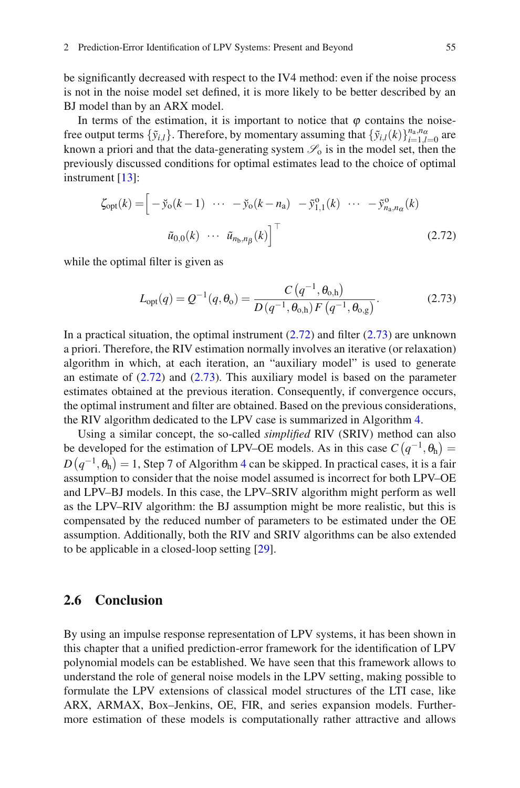be significantly decreased with respect to the IV4 method: even if the noise process is not in the noise model set defined, it is more likely to be better described by an BJ model than by an ARX model.

In terms of the estimation, it is important to notice that  $\varphi$  contains the noisefree output terms  $\{\tilde{y}_{i,l}\}$ . Therefore, by momentary assuming that  $\{\tilde{y}_{i,l}(k)\}_{i=1,l=0}^{n_a,n_a}$  are known a priori and that the data-generating system  $\mathscr{S}_0$  is in the model set, then the previously discussed conditions for optimal estimates lead to the choice of optimal instrument [13]:

$$
\zeta_{\rm opt}(k) = \left[ -\breve{y}_0(k-1) \cdots -\breve{y}_0(k-n_a) -\tilde{y}_{1,1}^0(k) \cdots -\tilde{y}_{n_a,n_\alpha}^0(k) \right]
$$
  

$$
\tilde{u}_{0,0}(k) \cdots \tilde{u}_{n_b,n_\beta}(k) \Big]^{\top}
$$
 (2.72)

while the optimal filter is given as

$$
L_{\rm opt}(q) = Q^{-1}(q, \theta_0) = \frac{C(q^{-1}, \theta_{0,h})}{D(q^{-1}, \theta_{0,h})F(q^{-1}, \theta_{0,g})}.
$$
 (2.73)

In a practical situation, the optimal instrument  $(2.72)$  and filter  $(2.73)$  are unknown a priori. Therefore, the RIV estimation normally involves an iterative (or relaxation) algorithm in which, at each iteration, an "auxiliary model" is used to generate an estimate of  $(2.72)$  and  $(2.73)$ . This auxiliary model is based on the parameter estimates obtained at the previous iteration. Consequently, if convergence occurs, the optimal instrument and filter are obtained. Based on the previous considerations, the RIV algorithm dedicated to the LPV case is summarized in Algorithm 4.

Using a similar concept, the so-called *simplified* RIV (SRIV) method can also be developed for the estimation of LPV–OE models. As in this case  $C(q^{-1}, \theta_h)$  =  $D\big(q^{-1},\theta_\text{h}\big) = 1,$  Step 7 of Algorithm 4 can be skipped. In practical cases, it is a fair assumption to consider that the noise model assumed is incorrect for both LPV–OE and LPV–BJ models. In this case, the LPV–SRIV algorithm might perform as well as the LPV–RIV algorithm: the BJ assumption might be more realistic, but this is compensated by the reduced number of parameters to be estimated under the OE assumption. Additionally, both the RIV and SRIV algorithms can be also extended to be applicable in a closed-loop setting [29].

#### **2.6 Conclusion**

By using an impulse response representation of LPV systems, it has been shown in this chapter that a unified prediction-error framework for the identification of LPV polynomial models can be established. We have seen that this framework allows to understand the role of general noise models in the LPV setting, making possible to formulate the LPV extensions of classical model structures of the LTI case, like ARX, ARMAX, Box–Jenkins, OE, FIR, and series expansion models. Furthermore estimation of these models is computationally rather attractive and allows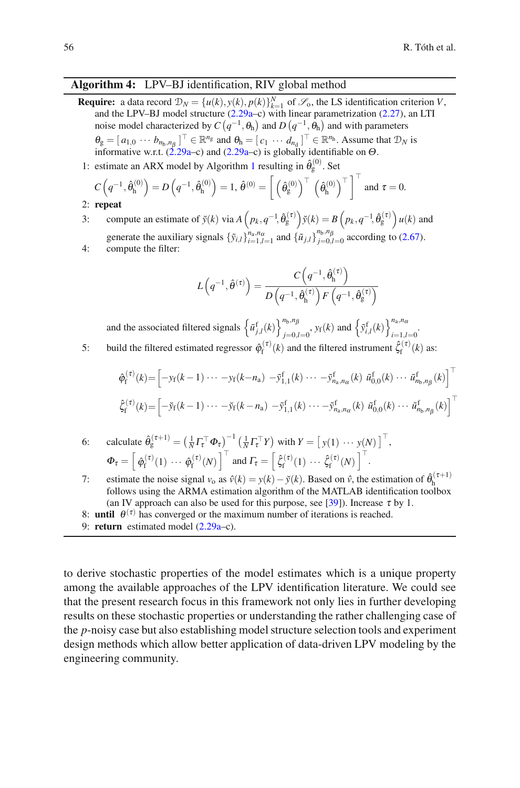#### **Algorithm 4:** LPV–BJ identification, RIV global method

- **Require:** a data record  $\mathcal{D}_N = \{u(k), y(k), p(k)\}_{k=1}^N$  of  $\mathcal{S}_0$ , the LS identification criterion *V*, and the LPV–BJ model structure (2.29a–c) with linear parametrization (2.27), an LTI noise model characterized by  $C(q^{-1}, \theta_h)$  and  $D(q^{-1}, \theta_h)$  and with parameters  $\theta_{g} = [a_{1,0} \cdots b_{n_b,n_b}]^{\top} \in \mathbb{R}^{n_g}$  and  $\theta_{h} = [c_1 \cdots d_{n_d}]^{\top} \in \mathbb{R}^{n_h}$ . Assume that  $\mathcal{D}_N$  is informative w.r.t.  $(2.29a-c)$  and  $(2.29a-c)$  is globally identifiable on  $\Theta$ .
- 1: estimate an ARX model by Algorithm 1 resulting in  $\hat{\theta}_{g}^{(0)}$ . Set

$$
C\left(q^{-1},\hat{\theta}_{h}^{(0)}\right) = D\left(q^{-1},\hat{\theta}_{h}^{(0)}\right) = 1, \hat{\theta}^{(0)} = \left[\left(\hat{\theta}_{g}^{(0)}\right)^{\top} \left(\hat{\theta}_{h}^{(0)}\right)^{\top}\right]^{\top} \text{ and } \tau = 0.
$$
  
repeat

#### $2:$

3: compute an estimate of  $\breve{y}(k)$  via  $A\left(p_k, q^{-1}, \hat{\theta}_{g}^{(\tau)}\right) \breve{y}(k) = B\left(p_k, q^{-1}, \hat{\theta}_{g}^{(\tau)}\right) u(k)$  and generate the auxiliary signals  $\{\tilde{y}_{i,l}\}_{l=1,l=1}^{n_a, n_a}$  and  $\{\tilde{u}_{j,l}\}_{j=0,l=0}^{n_b, n_b}$  according to (2.67). 4: compute the filter:

$$
\mathcal{L}_{\mathcal{A}}(x) = \mathcal{L}_{\mathcal{A}}(x)
$$

$$
L\left(q^{-1},\hat{\theta}^{(\tau)}\right) = \frac{C\left(q^{-1},\hat{\theta}_{h}^{(\tau)}\right)}{D\left(q^{-1},\hat{\theta}_{h}^{(\tau)}\right)F\left(q^{-1},\hat{\theta}_{g}^{(\tau)}\right)}
$$

and the associated filtered signals  $\left\{\tilde{u}_{j,l}^{\text{f}}(k)\right\}_{i=0}^{n_{\text{b}},n_{\beta}}$  $\left\{ \tilde{y}_{i,l}^{f}(k) \right\}_{i=1,l}^{n_{\text{a}},n_{\text{a}}}$ <br> *j*=0,*l*=0<sup>\*</sup>,*y*<sub>f</sub>(*k*) and  $\left\{ \tilde{y}_{i,l}^{f}(k) \right\}_{i=1,l}^{n_{\text{a}},n_{\text{a}}}$ *i*=1,*l*=0 .

5: build the filtered estimated regressor  $\hat{\varphi}_f^{(\tau)}(k)$  and the filtered instrument  $\hat{\zeta}_f^{(\tau)}(k)$  as:

$$
\hat{\varphi}_{f}^{(\tau)}(k) = \left[ -y_{f}(k-1)\cdots -y_{f}(k-n_{a}) - \tilde{y}_{1,1}^{f}(k)\cdots -\tilde{y}_{n_{a},n_{\alpha}}^{f}(k) \tilde{u}_{0,0}^{f}(k)\cdots \tilde{u}_{n_{b},n_{\beta}}^{f}(k) \right]^{\top}
$$

$$
\hat{\zeta}_{f}^{(\tau)}(k) = \left[ -\tilde{y}_{f}(k-1)\cdots -\tilde{y}_{f}(k-n_{a}) - \tilde{y}_{1,1}^{f}(k)\cdots -\tilde{y}_{n_{a},n_{\alpha}}^{f}(k) \tilde{u}_{0,0}^{f}(k)\cdots \tilde{u}_{n_{b},n_{\beta}}^{f}(k) \right]^{\top}
$$

- 6: calculate  $\hat{\theta}_g^{(\tau+1)} = \left(\frac{1}{N} \Gamma_\tau^\top \Phi_\tau\right)^{-1} \left(\frac{1}{N} \Gamma_\tau^\top Y\right)$  with  $Y = \left[y(1) \cdots y(N)\right]^\top$ ,  $\Phi_{\tau} = \left[ \begin{array}{cc} \hat{\varphi}_{f}^{(\tau)}(1) \cdots \hat{\varphi}_{f}^{(\tau)}(N) \end{array} \right]^{\top}$  and  $\Gamma_{\tau} = \left[ \begin{array}{cc} \hat{\zeta}_{f}^{(\tau)}(1) \cdots \hat{\zeta}_{f}^{(\tau)}(N) \end{array} \right]^{\top}$ .
- 7: estimate the noise signal  $v_0$  as  $\hat{v}(k) = y(k) \check{y}(k)$ . Based on  $\hat{v}$ , the estimation of  $\hat{\theta}_h^{(\tau+1)}$ follows using the ARMA estimation algorithm of the MATLAB identification toolbox (an IV approach can also be used for this purpose, see [39]). Increase  $\tau$  by 1.

8: **until**  $\theta^{(\tau)}$  has converged or the maximum number of iterations is reached.

9: **return** estimated model (2.29a–c).

to derive stochastic properties of the model estimates which is a unique property among the available approaches of the LPV identification literature. We could see that the present research focus in this framework not only lies in further developing results on these stochastic properties or understanding the rather challenging case of the *p*-noisy case but also establishing model structure selection tools and experiment design methods which allow better application of data-driven LPV modeling by the engineering community.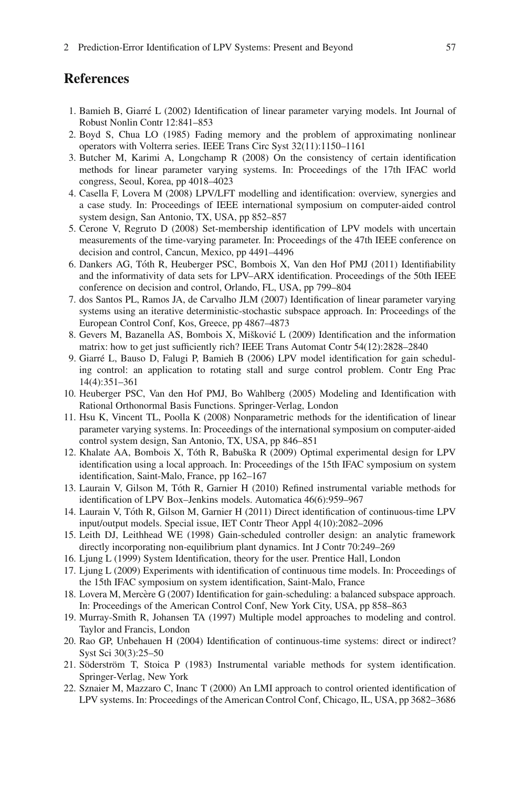## **References**

- 1. Bamieh B, Giarre L (2002) Identification of linear parameter varying models. Int Journal of ´ Robust Nonlin Contr 12:841–853
- 2. Boyd S, Chua LO (1985) Fading memory and the problem of approximating nonlinear operators with Volterra series. IEEE Trans Circ Syst 32(11):1150–1161
- 3. Butcher M, Karimi A, Longchamp R (2008) On the consistency of certain identification methods for linear parameter varying systems. In: Proceedings of the 17th IFAC world congress, Seoul, Korea, pp 4018–4023
- 4. Casella F, Lovera M (2008) LPV/LFT modelling and identification: overview, synergies and a case study. In: Proceedings of IEEE international symposium on computer-aided control system design, San Antonio, TX, USA, pp 852–857
- 5. Cerone V, Regruto D (2008) Set-membership identification of LPV models with uncertain measurements of the time-varying parameter. In: Proceedings of the 47th IEEE conference on decision and control, Cancun, Mexico, pp 4491–4496
- 6. Dankers AG, Tóth R, Heuberger PSC, Bombois X, Van den Hof PMJ (2011) Identifiability and the informativity of data sets for LPV–ARX identification. Proceedings of the 50th IEEE conference on decision and control, Orlando, FL, USA, pp 799–804
- 7. dos Santos PL, Ramos JA, de Carvalho JLM (2007) Identification of linear parameter varying systems using an iterative deterministic-stochastic subspace approach. In: Proceedings of the European Control Conf, Kos, Greece, pp 4867–4873
- 8. Gevers M, Bazanella AS, Bombois X, Mišković L (2009) Identification and the information matrix: how to get just sufficiently rich? IEEE Trans Automat Contr 54(12):2828–2840
- 9. Giarre L, Bauso D, Falugi P, Bamieh B (2006) LPV model identification for gain schedul- ´ ing control: an application to rotating stall and surge control problem. Contr Eng Prac 14(4):351–361
- 10. Heuberger PSC, Van den Hof PMJ, Bo Wahlberg (2005) Modeling and Identification with Rational Orthonormal Basis Functions. Springer-Verlag, London
- 11. Hsu K, Vincent TL, Poolla K (2008) Nonparametric methods for the identification of linear parameter varying systems. In: Proceedings of the international symposium on computer-aided control system design, San Antonio, TX, USA, pp 846–851
- 12. Khalate AA, Bombois X, Tóth R, Babuška R (2009) Optimal experimental design for LPV identification using a local approach. In: Proceedings of the 15th IFAC symposium on system identification, Saint-Malo, France, pp 162–167
- 13. Laurain V, Gilson M, Toth R, Garnier H (2010) Refined instrumental variable methods for ´ identification of LPV Box–Jenkins models. Automatica 46(6):959–967
- 14. Laurain V, Toth R, Gilson M, Garnier H (2011) Direct identification of continuous-time LPV ´ input/output models. Special issue, IET Contr Theor Appl 4(10):2082–2096
- 15. Leith DJ, Leithhead WE (1998) Gain-scheduled controller design: an analytic framework directly incorporating non-equilibrium plant dynamics. Int J Contr 70:249–269
- 16. Ljung L (1999) System Identification, theory for the user. Prentice Hall, London
- 17. Ljung L (2009) Experiments with identification of continuous time models. In: Proceedings of the 15th IFAC symposium on system identification, Saint-Malo, France
- 18. Lovera M, Mercère G (2007) Identification for gain-scheduling: a balanced subspace approach. In: Proceedings of the American Control Conf, New York City, USA, pp 858–863
- 19. Murray-Smith R, Johansen TA (1997) Multiple model approaches to modeling and control. Taylor and Francis, London
- 20. Rao GP, Unbehauen H (2004) Identification of continuous-time systems: direct or indirect? Syst Sci 30(3):25–50
- 21. Söderström T, Stoica P (1983) Instrumental variable methods for system identification. Springer-Verlag, New York
- 22. Sznaier M, Mazzaro C, Inanc T (2000) An LMI approach to control oriented identification of LPV systems. In: Proceedings of the American Control Conf, Chicago, IL, USA, pp 3682–3686